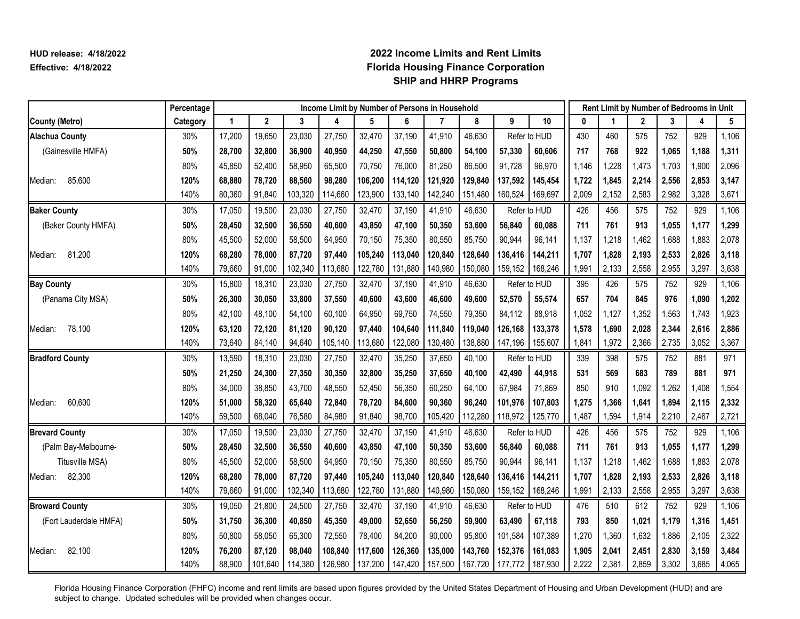|                        | Percentage |        |             |         | Income Limit by Number of Persons in Household |         |         |         |         |         |              |       |       |              |       | Rent Limit by Number of Bedrooms in Unit |       |
|------------------------|------------|--------|-------------|---------|------------------------------------------------|---------|---------|---------|---------|---------|--------------|-------|-------|--------------|-------|------------------------------------------|-------|
| <b>County (Metro)</b>  | Category   | 1      | $\mathbf 2$ | 3       | 4                                              | 5       | 6       |         | 8       | 9       | 10           | U     |       | $\mathbf{2}$ | 3     | 4                                        | 5     |
| <b>Alachua County</b>  | 30%        | 17,200 | 19,650      | 23,030  | 27,750                                         | 32,470  | 37,190  | 41,910  | 46,630  |         | Refer to HUD | 430   | 460   | 575          | 752   | 929                                      | 1,106 |
| (Gainesville HMFA)     | 50%        | 28,700 | 32,800      | 36,900  | 40,950                                         | 44,250  | 47,550  | 50,800  | 54,100  | 57,330  | 60,606       | 717   | 768   | 922          | 1,065 | 1,188                                    | 1,311 |
|                        | 80%        | 45,850 | 52,400      | 58,950  | 65,500                                         | 70,750  | 76,000  | 81,250  | 86,500  | 91,728  | 96,970       | 1,146 | 1,228 | 1,473        | 1,703 | 1,900                                    | 2,096 |
| 85,600<br>Median:      | 120%       | 68,880 | 78,720      | 88,560  | 98,280                                         | 106,200 | 114,120 | 121,920 | 129,840 | 137,592 | 145,454      | 1,722 | 1,845 | 2,214        | 2,556 | 2,853                                    | 3,147 |
|                        | 140%       | 80,360 | 91,840      | 103,320 | 114,660                                        | 123,900 | 133,140 | 142,240 | 151,480 | 160,524 | 169,697      | 2,009 | 2,152 | 2,583        | 2,982 | 3,328                                    | 3,671 |
| <b>Baker County</b>    | 30%        | 17,050 | 19,500      | 23,030  | 27,750                                         | 32,470  | 37,190  | 41,910  | 46,630  |         | Refer to HUD | 426   | 456   | 575          | 752   | 929                                      | 1,106 |
| (Baker County HMFA)    | 50%        | 28,450 | 32,500      | 36,550  | 40,600                                         | 43,850  | 47,100  | 50,350  | 53,600  | 56,840  | 60,088       | 711   | 761   | 913          | 1,055 | 1,177                                    | 1,299 |
|                        | 80%        | 45,500 | 52,000      | 58,500  | 64,950                                         | 70,150  | 75,350  | 80,550  | 85,750  | 90,944  | 96,141       | 1,137 | 1,218 | 1,462        | 1,688 | 1,883                                    | 2,078 |
| 81,200<br>Median:      | 120%       | 68,280 | 78,000      | 87,720  | 97,440                                         | 105,240 | 113,040 | 120,840 | 128,640 | 136,416 | 144,211      | 1,707 | 1,828 | 2,193        | 2,533 | 2,826                                    | 3,118 |
|                        | 140%       | 79,660 | 91,000      | 102,340 | 113,680                                        | 122,780 | 131,880 | 140,980 | 150,080 | 159,152 | 168,246      | 1,991 | 2,133 | 2,558        | 2,955 | 3,297                                    | 3,638 |
| <b>Bay County</b>      | 30%        | 15,800 | 18,310      | 23,030  | 27,750                                         | 32,470  | 37,190  | 41,910  | 46,630  |         | Refer to HUD | 395   | 426   | 575          | 752   | 929                                      | 1,106 |
| (Panama City MSA)      | 50%        | 26,300 | 30,050      | 33,800  | 37,550                                         | 40,600  | 43,600  | 46,600  | 49,600  | 52,570  | 55,574       | 657   | 704   | 845          | 976   | 1,090                                    | 1,202 |
|                        | 80%        | 42,100 | 48,100      | 54,100  | 60,100                                         | 64,950  | 69,750  | 74,550  | 79,350  | 84,112  | 88,918       | 1,052 | 1,127 | 1,352        | 1,563 | 1,743                                    | 1,923 |
| 78,100<br>Median:      | 120%       | 63,120 | 72,120      | 81,120  | 90,120                                         | 97,440  | 104,640 | 111,840 | 119,040 | 126,168 | 133,378      | 1,578 | 1,690 | 2,028        | 2,344 | 2,616                                    | 2,886 |
|                        | 140%       | 73,640 | 84,140      | 94,640  | 105,140                                        | 113,680 | 122,080 | 130,480 | 138,880 | 147,196 | 155,607      | 1,841 | 1,972 | 2,366        | 2,735 | 3,052                                    | 3,367 |
| <b>Bradford County</b> | 30%        | 13,590 | 18,310      | 23,030  | 27,750                                         | 32,470  | 35,250  | 37,650  | 40,100  |         | Refer to HUD | 339   | 398   | 575          | 752   | 881                                      | 971   |
|                        | 50%        | 21,250 | 24,300      | 27,350  | 30,350                                         | 32,800  | 35,250  | 37,650  | 40,100  | 42,490  | 44,918       | 531   | 569   | 683          | 789   | 881                                      | 971   |
|                        | 80%        | 34,000 | 38.850      | 43,700  | 48,550                                         | 52,450  | 56,350  | 60,250  | 64,100  | 67,984  | 71,869       | 850   | 910   | 1,092        | 1,262 | 1,408                                    | 1,554 |
| 60,600<br>Median:      | 120%       | 51,000 | 58,320      | 65,640  | 72,840                                         | 78,720  | 84,600  | 90,360  | 96,240  | 101,976 | 107,803      | 1,275 | 1,366 | 1,641        | 1,894 | 2,115                                    | 2,332 |
|                        | 140%       | 59,500 | 68,040      | 76,580  | 84,980                                         | 91,840  | 98,700  | 105,420 | 112,280 | 118,972 | 125,770      | 1,487 | 1,594 | 1,914        | 2,210 | 2,467                                    | 2,721 |
| <b>Brevard County</b>  | 30%        | 17,050 | 19,500      | 23,030  | 27,750                                         | 32,470  | 37,190  | 41,910  | 46,630  |         | Refer to HUD | 426   | 456   | 575          | 752   | 929                                      | 1,106 |
| (Palm Bay-Melbourne-   | 50%        | 28,450 | 32,500      | 36,550  | 40,600                                         | 43,850  | 47,100  | 50,350  | 53,600  | 56,840  | 60,088       | 711   | 761   | 913          | 1,055 | 1,177                                    | 1,299 |
| Titusville MSA)        | 80%        | 45,500 | 52,000      | 58,500  | 64,950                                         | 70,150  | 75,350  | 80,550  | 85,750  | 90,944  | 96,141       | 1,137 | 1,218 | 1,462        | 1,688 | 1,883                                    | 2,078 |
| 82,300<br>Median:      | 120%       | 68,280 | 78,000      | 87,720  | 97,440                                         | 105,240 | 113,040 | 120,840 | 128,640 | 136,416 | 144,211      | 1,707 | 1,828 | 2,193        | 2,533 | 2,826                                    | 3,118 |
|                        | 140%       | 79,660 | 91,000      | 102,340 | 113,680                                        | 122,780 | 131,880 | 140,980 | 150,080 | 159,152 | 168,246      | 1,991 | 2,133 | 2,558        | 2,955 | 3,297                                    | 3,638 |
| <b>Broward County</b>  | 30%        | 19,050 | 21,800      | 24,500  | 27,750                                         | 32,470  | 37,190  | 41,910  | 46,630  |         | Refer to HUD | 476   | 510   | 612          | 752   | 929                                      | 1,106 |
| (Fort Lauderdale HMFA) | 50%        | 31,750 | 36,300      | 40,850  | 45,350                                         | 49,000  | 52,650  | 56,250  | 59,900  | 63,490  | 67,118       | 793   | 850   | 1,021        | 1,179 | 1,316                                    | 1,451 |
|                        | 80%        | 50,800 | 58,050      | 65,300  | 72,550                                         | 78,400  | 84,200  | 90,000  | 95,800  | 101,584 | 107,389      | 1,270 | 1,360 | 1,632        | 1,886 | 2,105                                    | 2,322 |
| 82,100<br>Median:      | 120%       | 76,200 | 87,120      | 98,040  | 108,840                                        | 117,600 | 126,360 | 135,000 | 143,760 | 152,376 | 161,083      | 1,905 | 2,041 | 2,451        | 2,830 | 3,159                                    | 3,484 |
|                        | 140%       | 88,900 | 101,640     | 114,380 | 126,980                                        | 137,200 | 147,420 | 157,500 | 167,720 | 177,772 | 187,930      | 2,222 | 2,381 | 2,859        | 3,302 | 3,685                                    | 4,065 |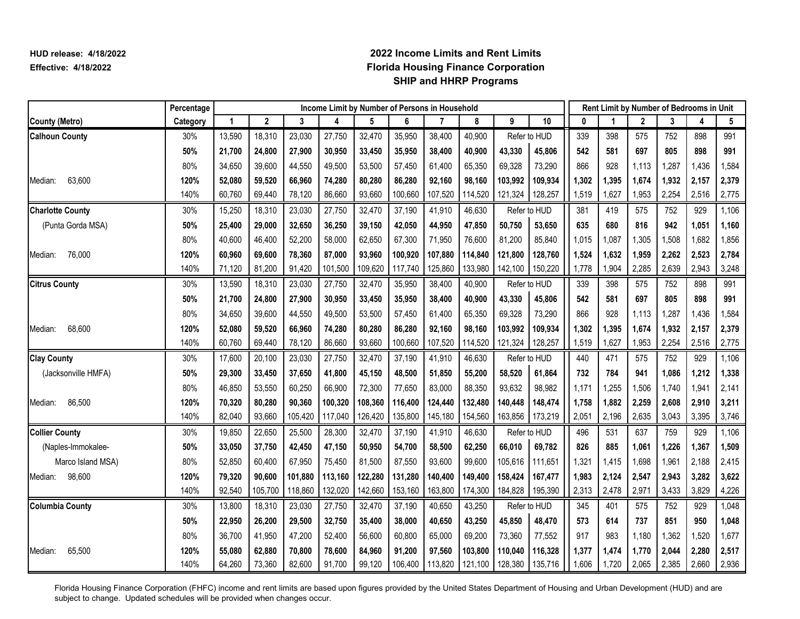|                         | Percentage |        |             |         | Income Limit by Number of Persons in Household |         |         |         |         |         |              |       |       |              |       | Rent Limit by Number of Bedrooms in Unit |       |
|-------------------------|------------|--------|-------------|---------|------------------------------------------------|---------|---------|---------|---------|---------|--------------|-------|-------|--------------|-------|------------------------------------------|-------|
| <b>County (Metro)</b>   | Category   | 1      | $\mathbf 2$ | 3       | 4                                              | 5       | 6       | 7       | 8       | 9       | 10           | 0     |       | $\mathbf{2}$ | 3     | 4                                        | 5     |
| <b>Calhoun County</b>   | 30%        | 13,590 | 18,310      | 23,030  | 27,750                                         | 32,470  | 35,950  | 38,400  | 40,900  |         | Refer to HUD | 339   | 398   | 575          | 752   | 898                                      | 991   |
|                         | 50%        | 21,700 | 24,800      | 27,900  | 30,950                                         | 33,450  | 35,950  | 38,400  | 40,900  | 43,330  | 45,806       | 542   | 581   | 697          | 805   | 898                                      | 991   |
|                         | 80%        | 34,650 | 39,600      | 44,550  | 49,500                                         | 53,500  | 57,450  | 61,400  | 65,350  | 69,328  | 73,290       | 866   | 928   | 1,113        | 1,287 | 1,436                                    | 1,584 |
| 63,600<br>Median:       | 120%       | 52,080 | 59,520      | 66,960  | 74,280                                         | 80,280  | 86,280  | 92,160  | 98,160  | 103,992 | 109,934      | 1,302 | 1,395 | 1,674        | 1,932 | 2,157                                    | 2,379 |
|                         | 140%       | 60,760 | 69,440      | 78,120  | 86,660                                         | 93,660  | 100,660 | 107,520 | 114,520 | 121,324 | 128,257      | 1,519 | 1,627 | 1,953        | 2,254 | 2,516                                    | 2,775 |
| <b>Charlotte County</b> | 30%        | 15,250 | 18,310      | 23,030  | 27,750                                         | 32,470  | 37,190  | 41,910  | 46,630  |         | Refer to HUD | 381   | 419   | 575          | 752   | 929                                      | 1,106 |
| (Punta Gorda MSA)       | 50%        | 25,400 | 29,000      | 32,650  | 36,250                                         | 39,150  | 42,050  | 44,950  | 47,850  | 50,750  | 53,650       | 635   | 680   | 816          | 942   | 1,051                                    | 1,160 |
|                         | 80%        | 40,600 | 46,400      | 52,200  | 58,000                                         | 62,650  | 67,300  | 71,950  | 76,600  | 81,200  | 85,840       | 1,015 | 1,087 | 1,305        | 1,508 | 1,682                                    | 1,856 |
| 76,000<br>Median:       | 120%       | 60,960 | 69,600      | 78,360  | 87,000                                         | 93,960  | 100,920 | 107,880 | 114,840 | 121,800 | 128,760      | 1,524 | 1,632 | 1,959        | 2,262 | 2,523                                    | 2,784 |
|                         | 140%       | 71,120 | 81,200      | 91,420  | 101,500                                        | 109,620 | 117,740 | 125,860 | 133,980 | 142,100 | 150,220      | 1,778 | 1,904 | 2,285        | 2,639 | 2,943                                    | 3,248 |
| <b>Citrus County</b>    | 30%        | 13,590 | 18,310      | 23,030  | 27,750                                         | 32,470  | 35,950  | 38,400  | 40,900  |         | Refer to HUD | 339   | 398   | 575          | 752   | 898                                      | 991   |
|                         | 50%        | 21,700 | 24,800      | 27,900  | 30,950                                         | 33,450  | 35,950  | 38,400  | 40,900  | 43,330  | 45,806       | 542   | 581   | 697          | 805   | 898                                      | 991   |
|                         | 80%        | 34,650 | 39,600      | 44,550  | 49,500                                         | 53,500  | 57,450  | 61,400  | 65,350  | 69,328  | 73,290       | 866   | 928   | 1,113        | 1,287 | 1,436                                    | 1,584 |
| 68,600<br>Median:       | 120%       | 52,080 | 59,520      | 66,960  | 74,280                                         | 80,280  | 86,280  | 92,160  | 98,160  | 103,992 | 109,934      | 1,302 | 1,395 | 1,674        | 1,932 | 2,157                                    | 2,379 |
|                         | 140%       | 60,760 | 69,440      | 78,120  | 86,660                                         | 93,660  | 100,660 | 107,520 | 114,520 | 121,324 | 128,257      | 1,519 | 1,627 | 1,953        | 2,254 | 2,516                                    | 2,775 |
| <b>Clay County</b>      | 30%        | 17,600 | 20,100      | 23,030  | 27,750                                         | 32,470  | 37,190  | 41,910  | 46,630  |         | Refer to HUD | 440   | 471   | 575          | 752   | 929                                      | 1,106 |
| (Jacksonville HMFA)     | 50%        | 29,300 | 33,450      | 37,650  | 41,800                                         | 45,150  | 48,500  | 51,850  | 55,200  | 58,520  | 61,864       | 732   | 784   | 941          | 1,086 | 1,212                                    | 1,338 |
|                         | 80%        | 46,850 | 53,550      | 60,250  | 66,900                                         | 72,300  | 77,650  | 83,000  | 88,350  | 93,632  | 98,982       | 1,171 | 1,255 | 1,506        | 1,740 | 1,941                                    | 2,141 |
| 86,500<br>Median:       | 120%       | 70,320 | 80,280      | 90,360  | 100,320                                        | 108,360 | 116,400 | 124,440 | 132,480 | 140,448 | 148,474      | 1,758 | 1,882 | 2,259        | 2,608 | 2,910                                    | 3,211 |
|                         | 140%       | 82,040 | 93,660      | 105,420 | 117,040                                        | 126,420 | 135,800 | 145,180 | 154,560 | 163,856 | 173,219      | 2,051 | 2,196 | 2,635        | 3,043 | 3,395                                    | 3,746 |
| <b>Collier County</b>   | 30%        | 19,850 | 22,650      | 25,500  | 28,300                                         | 32,470  | 37,190  | 41,910  | 46,630  |         | Refer to HUD | 496   | 531   | 637          | 759   | 929                                      | 1,106 |
| (Naples-Immokalee-      | 50%        | 33,050 | 37,750      | 42,450  | 47,150                                         | 50,950  | 54,700  | 58,500  | 62,250  | 66,010  | 69,782       | 826   | 885   | 1,061        | 1,226 | 1,367                                    | 1,509 |
| Marco Island MSA)       | 80%        | 52,850 | 60.400      | 67,950  | 75,450                                         | 81,500  | 87,550  | 93,600  | 99,600  | 105,616 | 111,651      | 1,321 | 1,415 | 1,698        | 1,961 | 2,188                                    | 2,415 |
| Median: 98,600          | 120%       | 79,320 | 90,600      | 101,880 | 113,160                                        | 122,280 | 131,280 | 140,400 | 149,400 | 158,424 | 167,477      | 1,983 | 2,124 | 2,547        | 2,943 | 3,282                                    | 3,622 |
|                         | 140%       | 92,540 | 105,700     | 118,860 | 132,020                                        | 142,660 | 153,160 | 163,800 | 174,300 | 184,828 | 195,390      | 2,313 | 2,478 | 2,971        | 3,433 | 3,829                                    | 4,226 |
| <b>Columbia County</b>  | 30%        | 13,800 | 18,310      | 23,030  | 27,750                                         | 32,470  | 37,190  | 40,650  | 43,250  |         | Refer to HUD | 345   | 401   | 575          | 752   | 929                                      | 1,048 |
|                         | 50%        | 22,950 | 26,200      | 29,500  | 32,750                                         | 35,400  | 38,000  | 40,650  | 43,250  | 45,850  | 48,470       | 573   | 614   | 737          | 851   | 950                                      | 1,048 |
|                         | 80%        | 36,700 | 41,950      | 47,200  | 52,400                                         | 56,600  | 60,800  | 65,000  | 69,200  | 73,360  | 77,552       | 917   | 983   | 1,180        | 1,362 | 1,520                                    | 1,677 |
| 65,500<br>Median:       | 120%       | 55,080 | 62,880      | 70,800  | 78,600                                         | 84,960  | 91,200  | 97,560  | 103,800 | 110,040 | 116,328      | 1,377 | 1,474 | 1,770        | 2,044 | 2,280                                    | 2,517 |
|                         | 140%       | 64,260 | 73,360      | 82,600  | 91,700                                         | 99,120  | 106,400 | 113,820 | 121,100 | 128,380 | 135,716      | 1,606 | 1,720 | 2,065        | 2,385 | 2,660                                    | 2,936 |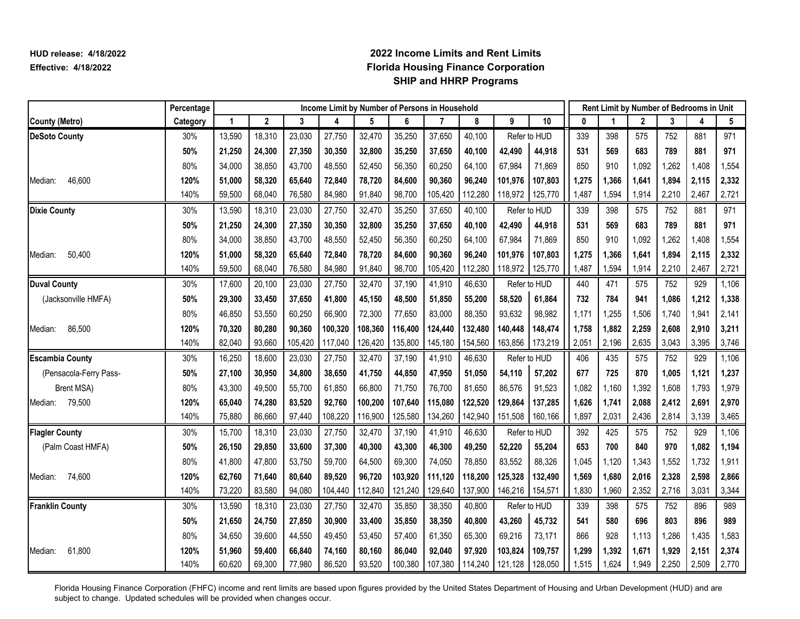|                        | Percentage |        |              |         | Income Limit by Number of Persons in Household |         |         |         |         |         |              |       |       |              |       | Rent Limit by Number of Bedrooms in Unit |       |
|------------------------|------------|--------|--------------|---------|------------------------------------------------|---------|---------|---------|---------|---------|--------------|-------|-------|--------------|-------|------------------------------------------|-------|
| <b>County (Metro)</b>  | Category   | 1      | $\mathbf{2}$ | 3       | 4                                              | 5       | 6       | 7       | 8       | 9       | 10           | 0     |       | $\mathbf{2}$ | 3     | 4                                        | 5     |
| <b>DeSoto County</b>   | 30%        | 13,590 | 18,310       | 23,030  | 27,750                                         | 32,470  | 35,250  | 37,650  | 40,100  |         | Refer to HUD | 339   | 398   | 575          | 752   | 881                                      | 971   |
|                        | 50%        | 21,250 | 24,300       | 27,350  | 30,350                                         | 32,800  | 35,250  | 37,650  | 40,100  | 42,490  | 44,918       | 531   | 569   | 683          | 789   | 881                                      | 971   |
|                        | 80%        | 34,000 | 38,850       | 43,700  | 48,550                                         | 52,450  | 56,350  | 60,250  | 64,100  | 67,984  | 71,869       | 850   | 910   | 1,092        | 1,262 | 1,408                                    | 1,554 |
| 46,600<br>Median:      | 120%       | 51,000 | 58,320       | 65,640  | 72,840                                         | 78,720  | 84,600  | 90,360  | 96,240  | 101,976 | 107,803      | 1,275 | 1,366 | 1,641        | 1,894 | 2,115                                    | 2,332 |
|                        | 140%       | 59,500 | 68,040       | 76,580  | 84,980                                         | 91,840  | 98,700  | 105,420 | 112,280 | 118,972 | 125,770      | 1,487 | 1,594 | 1,914        | 2,210 | 2,467                                    | 2,721 |
| <b>Dixie County</b>    | 30%        | 13,590 | 18,310       | 23,030  | 27,750                                         | 32,470  | 35,250  | 37,650  | 40,100  |         | Refer to HUD | 339   | 398   | 575          | 752   | 881                                      | 971   |
|                        | 50%        | 21,250 | 24,300       | 27,350  | 30,350                                         | 32,800  | 35,250  | 37,650  | 40,100  | 42,490  | 44,918       | 531   | 569   | 683          | 789   | 881                                      | 971   |
|                        | 80%        | 34,000 | 38,850       | 43,700  | 48,550                                         | 52,450  | 56,350  | 60,250  | 64,100  | 67,984  | 71,869       | 850   | 910   | 1,092        | 1,262 | 1,408                                    | 1,554 |
| 50,400<br>Median:      | 120%       | 51,000 | 58,320       | 65,640  | 72,840                                         | 78,720  | 84,600  | 90,360  | 96,240  | 101,976 | 107,803      | 1,275 | 1,366 | 1,641        | 1,894 | 2,115                                    | 2,332 |
|                        | 140%       | 59,500 | 68,040       | 76,580  | 84,980                                         | 91,840  | 98,700  | 105,420 | 112,280 | 118,972 | 125,770      | 1,487 | 1,594 | 1,914        | 2,210 | 2,467                                    | 2,721 |
| <b>Duval County</b>    | 30%        | 17,600 | 20,100       | 23,030  | 27,750                                         | 32,470  | 37,190  | 41,910  | 46,630  |         | Refer to HUD | 440   | 471   | 575          | 752   | 929                                      | 1,106 |
| (Jacksonville HMFA)    | 50%        | 29,300 | 33,450       | 37,650  | 41,800                                         | 45,150  | 48,500  | 51,850  | 55,200  | 58,520  | 61,864       | 732   | 784   | 941          | 1.086 | 1,212                                    | 1,338 |
|                        | 80%        | 46,850 | 53,550       | 60,250  | 66,900                                         | 72,300  | 77,650  | 83,000  | 88,350  | 93,632  | 98,982       | 1,171 | 1,255 | 1,506        | 1,740 | 1,941                                    | 2,141 |
| 86,500<br>Median:      | 120%       | 70,320 | 80,280       | 90,360  | 100,320                                        | 108,360 | 116,400 | 124,440 | 132,480 | 140,448 | 148,474      | 1,758 | 1,882 | 2,259        | 2,608 | 2,910                                    | 3,211 |
|                        | 140%       | 82,040 | 93,660       | 105,420 | 117,040                                        | 126,420 | 135,800 | 145,180 | 154,560 | 163,856 | 173,219      | 2,051 | 2,196 | 2,635        | 3,043 | 3,395                                    | 3,746 |
| <b>Escambia County</b> | 30%        | 16,250 | 18,600       | 23,030  | 27,750                                         | 32,470  | 37,190  | 41,910  | 46,630  |         | Refer to HUD | 406   | 435   | 575          | 752   | 929                                      | 1,106 |
| (Pensacola-Ferry Pass- | 50%        | 27,100 | 30.950       | 34,800  | 38,650                                         | 41,750  | 44,850  | 47,950  | 51,050  | 54,110  | 57,202       | 677   | 725   | 870          | 1,005 | 1,121                                    | 1,237 |
| Brent MSA)             | 80%        | 43,300 | 49,500       | 55,700  | 61,850                                         | 66,800  | 71,750  | 76,700  | 81,650  | 86,576  | 91,523       | 1,082 | 1,160 | 1,392        | 1,608 | 1,793                                    | 1,979 |
| 79,500<br>Median:      | 120%       | 65,040 | 74,280       | 83,520  | 92,760                                         | 100,200 | 107,640 | 115,080 | 122,520 | 129,864 | 137,285      | 1,626 | 1,741 | 2,088        | 2,412 | 2,691                                    | 2,970 |
|                        | 140%       | 75,880 | 86,660       | 97,440  | 108,220                                        | 116,900 | 125,580 | 134,260 | 142,940 | 151,508 | 160,166      | 1,897 | 2,031 | 2,436        | 2,814 | 3,139                                    | 3,465 |
| <b>Flagler County</b>  | 30%        | 15,700 | 18,310       | 23,030  | 27,750                                         | 32,470  | 37,190  | 41,910  | 46,630  |         | Refer to HUD | 392   | 425   | 575          | 752   | 929                                      | 1,106 |
| (Palm Coast HMFA)      | 50%        | 26,150 | 29,850       | 33,600  | 37,300                                         | 40,300  | 43,300  | 46,300  | 49,250  | 52,220  | 55,204       | 653   | 700   | 840          | 970   | 1,082                                    | 1,194 |
|                        | 80%        | 41,800 | 47,800       | 53,750  | 59,700                                         | 64,500  | 69,300  | 74,050  | 78,850  | 83,552  | 88,326       | 1,045 | 1,120 | 1,343        | 1,552 | 1,732                                    | 1,911 |
| 74,600<br>Median:      | 120%       | 62,760 | 71,640       | 80,640  | 89,520                                         | 96,720  | 103,920 | 111,120 | 118,200 | 125,328 | 132,490      | 1,569 | 1,680 | 2,016        | 2,328 | 2,598                                    | 2,866 |
|                        | 140%       | 73,220 | 83,580       | 94,080  | 104,440                                        | 112,840 | 121,240 | 129,640 | 137,900 | 146,216 | 154,571      | 1,830 | 1,960 | 2,352        | 2,716 | 3,031                                    | 3,344 |
| <b>Franklin County</b> | 30%        | 13,590 | 18,310       | 23,030  | 27,750                                         | 32,470  | 35,850  | 38,350  | 40,800  |         | Refer to HUD | 339   | 398   | 575          | 752   | 896                                      | 989   |
|                        | 50%        | 21,650 | 24,750       | 27,850  | 30,900                                         | 33,400  | 35,850  | 38,350  | 40,800  | 43,260  | 45,732       | 541   | 580   | 696          | 803   | 896                                      | 989   |
|                        | 80%        | 34,650 | 39,600       | 44,550  | 49,450                                         | 53,450  | 57,400  | 61,350  | 65,300  | 69,216  | 73,171       | 866   | 928   | 1,113        | 1,286 | 1,435                                    | 1,583 |
| 61,800<br>Median:      | 120%       | 51,960 | 59,400       | 66,840  | 74,160                                         | 80,160  | 86,040  | 92,040  | 97,920  | 103,824 | 109,757      | 1,299 | 1.392 | 1,671        | 1,929 | 2,151                                    | 2,374 |
|                        | 140%       | 60,620 | 69,300       | 77,980  | 86,520                                         | 93,520  | 100,380 | 107,380 | 114,240 | 121,128 | 128,050      | 1,515 | 1,624 | 1,949        | 2,250 | 2,509                                    | 2,770 |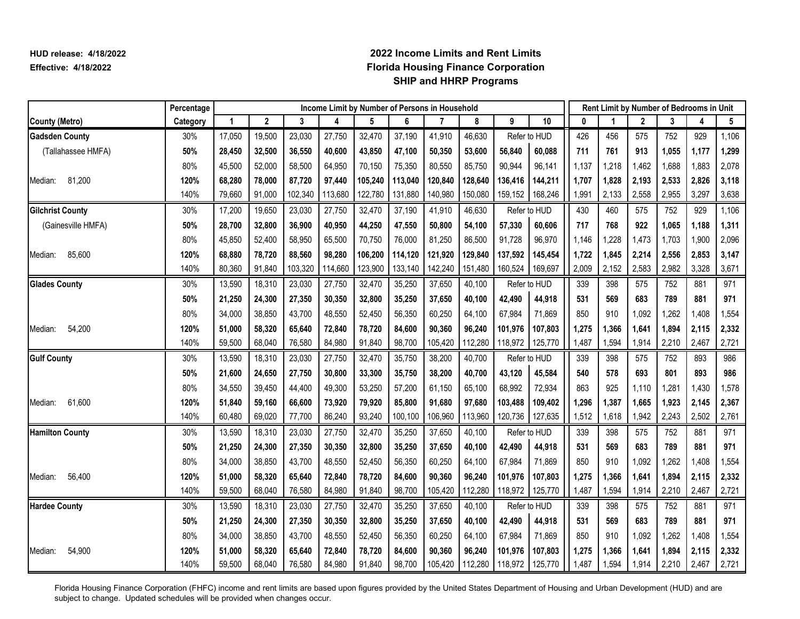|                         | Percentage |             |              |         | Income Limit by Number of Persons in Household |         |         |         |         |         |              |          |       |              |       | Rent Limit by Number of Bedrooms in Unit |       |
|-------------------------|------------|-------------|--------------|---------|------------------------------------------------|---------|---------|---------|---------|---------|--------------|----------|-------|--------------|-------|------------------------------------------|-------|
| <b>County (Metro)</b>   | Category   | $\mathbf 1$ | $\mathbf{2}$ | 3       | 4                                              | 5       | 6       | 7       | 8       | 9       | 10           | $\bf{0}$ |       | $\mathbf{2}$ | 3     | 4                                        | 5     |
| <b>Gadsden County</b>   | 30%        | 17,050      | 19,500       | 23,030  | 27,750                                         | 32,470  | 37,190  | 41,910  | 46,630  |         | Refer to HUD | 426      | 456   | 575          | 752   | 929                                      | 1,106 |
| (Tallahassee HMFA)      | 50%        | 28,450      | 32,500       | 36,550  | 40,600                                         | 43,850  | 47,100  | 50,350  | 53,600  | 56,840  | 60,088       | 711      | 761   | 913          | 1,055 | 1,177                                    | 1,299 |
|                         | 80%        | 45,500      | 52,000       | 58,500  | 64,950                                         | 70,150  | 75,350  | 80,550  | 85,750  | 90,944  | 96,141       | 1,137    | 1,218 | 1,462        | 1,688 | 1,883                                    | 2,078 |
| 81,200<br>Median:       | 120%       | 68,280      | 78,000       | 87,720  | 97,440                                         | 105,240 | 113,040 | 120,840 | 128,640 | 136,416 | 144,211      | 1,707    | 1,828 | 2,193        | 2,533 | 2,826                                    | 3,118 |
|                         | 140%       | 79,660      | 91,000       | 102,340 | 113,680                                        | 122,780 | 131,880 | 140,980 | 150,080 | 159,152 | 168,246      | 1,991    | 2,133 | 2,558        | 2,955 | 3,297                                    | 3,638 |
| <b>Gilchrist County</b> | 30%        | 17,200      | 19,650       | 23,030  | 27,750                                         | 32,470  | 37,190  | 41,910  | 46,630  |         | Refer to HUD | 430      | 460   | 575          | 752   | 929                                      | 1,106 |
| (Gainesville HMFA)      | 50%        | 28,700      | 32,800       | 36,900  | 40,950                                         | 44,250  | 47,550  | 50,800  | 54,100  | 57,330  | 60,606       | 717      | 768   | 922          | 1,065 | 1,188                                    | 1,311 |
|                         | 80%        | 45,850      | 52,400       | 58,950  | 65,500                                         | 70,750  | 76,000  | 81,250  | 86,500  | 91,728  | 96,970       | 1,146    | 1,228 | 1,473        | 1,703 | 1,900                                    | 2,096 |
| 85,600<br>Median:       | 120%       | 68,880      | 78,720       | 88,560  | 98,280                                         | 106,200 | 114,120 | 121,920 | 129,840 | 137,592 | 145,454      | 1,722    | 1,845 | 2,214        | 2,556 | 2,853                                    | 3,147 |
|                         | 140%       | 80,360      | 91,840       | 103,320 | 114,660                                        | 123,900 | 133,140 | 142,240 | 151,480 | 160,524 | 169,697      | 2,009    | 2,152 | 2,583        | 2,982 | 3,328                                    | 3,671 |
| <b>Glades County</b>    | 30%        | 13,590      | 18,310       | 23,030  | 27,750                                         | 32,470  | 35,250  | 37,650  | 40,100  |         | Refer to HUD | 339      | 398   | 575          | 752   | 881                                      | 971   |
|                         | 50%        | 21,250      | 24,300       | 27,350  | 30,350                                         | 32,800  | 35,250  | 37,650  | 40,100  | 42,490  | 44,918       | 531      | 569   | 683          | 789   | 881                                      | 971   |
|                         | 80%        | 34,000      | 38,850       | 43,700  | 48,550                                         | 52,450  | 56,350  | 60,250  | 64,100  | 67,984  | 71,869       | 850      | 910   | 1,092        | 1,262 | 1,408                                    | 1,554 |
| 54,200<br>Median:       | 120%       | 51,000      | 58,320       | 65,640  | 72,840                                         | 78,720  | 84,600  | 90,360  | 96,240  | 101,976 | 107,803      | 1,275    | 1,366 | 1,641        | 1,894 | 2,115                                    | 2,332 |
|                         | 140%       | 59,500      | 68,040       | 76,580  | 84,980                                         | 91,840  | 98,700  | 105,420 | 112,280 | 118,972 | 125,770      | 1,487    | 1,594 | 1,914        | 2,210 | 2,467                                    | 2,721 |
| <b>Gulf County</b>      | 30%        | 13,590      | 18,310       | 23,030  | 27,750                                         | 32,470  | 35,750  | 38,200  | 40,700  |         | Refer to HUD | 339      | 398   | 575          | 752   | 893                                      | 986   |
|                         | 50%        | 21,600      | 24,650       | 27,750  | 30,800                                         | 33,300  | 35,750  | 38,200  | 40,700  | 43,120  | 45,584       | 540      | 578   | 693          | 801   | 893                                      | 986   |
|                         | 80%        | 34,550      | 39,450       | 44,400  | 49,300                                         | 53,250  | 57,200  | 61,150  | 65,100  | 68,992  | 72,934       | 863      | 925   | 1,110        | 1.281 | 1,430                                    | 1,578 |
| 61,600<br>Median:       | 120%       | 51,840      | 59,160       | 66,600  | 73,920                                         | 79,920  | 85,800  | 91,680  | 97,680  | 103,488 | 109,402      | 1,296    | 1,387 | 1,665        | 1,923 | 2,145                                    | 2,367 |
|                         | 140%       | 60,480      | 69,020       | 77,700  | 86,240                                         | 93,240  | 100,100 | 106,960 | 113,960 | 120,736 | 127,635      | 1,512    | 1,618 | 1,942        | 2,243 | 2,502                                    | 2,761 |
| <b>Hamilton County</b>  | 30%        | 13,590      | 18,310       | 23,030  | 27,750                                         | 32,470  | 35,250  | 37,650  | 40,100  |         | Refer to HUD | 339      | 398   | 575          | 752   | 881                                      | 971   |
|                         | 50%        | 21,250      | 24,300       | 27,350  | 30,350                                         | 32,800  | 35,250  | 37,650  | 40,100  | 42,490  | 44,918       | 531      | 569   | 683          | 789   | 881                                      | 971   |
|                         | 80%        | 34,000      | 38.850       | 43,700  | 48,550                                         | 52,450  | 56,350  | 60,250  | 64,100  | 67,984  | 71,869       | 850      | 910   | 1,092        | 1,262 | 1,408                                    | 1,554 |
| 56,400<br>Median:       | 120%       | 51,000      | 58,320       | 65,640  | 72,840                                         | 78,720  | 84,600  | 90,360  | 96,240  | 101,976 | 107,803      | 1,275    | 1,366 | 1,641        | 1,894 | 2,115                                    | 2,332 |
|                         | 140%       | 59,500      | 68,040       | 76,580  | 84,980                                         | 91,840  | 98,700  | 105,420 | 112,280 | 118,972 | 125,770      | 1,487    | 1,594 | 1,914        | 2,210 | 2,467                                    | 2,721 |
| <b>Hardee County</b>    | 30%        | 13,590      | 18,310       | 23,030  | 27,750                                         | 32,470  | 35,250  | 37,650  | 40,100  |         | Refer to HUD | 339      | 398   | 575          | 752   | 881                                      | 971   |
|                         | 50%        | 21,250      | 24,300       | 27,350  | 30,350                                         | 32,800  | 35,250  | 37,650  | 40,100  | 42,490  | 44,918       | 531      | 569   | 683          | 789   | 881                                      | 971   |
|                         | 80%        | 34,000      | 38,850       | 43,700  | 48,550                                         | 52,450  | 56,350  | 60,250  | 64,100  | 67,984  | 71,869       | 850      | 910   | 1,092        | 1,262 | 1,408                                    | 1,554 |
| 54,900<br>Median:       | 120%       | 51,000      | 58,320       | 65,640  | 72,840                                         | 78,720  | 84,600  | 90,360  | 96,240  | 101,976 | 107,803      | 1,275    | 1,366 | 1,641        | 1,894 | 2,115                                    | 2,332 |
|                         | 140%       | 59,500      | 68,040       | 76,580  | 84,980                                         | 91,840  | 98,700  | 105,420 | 112,280 | 118,972 | 125,770      | 1,487    | 1,594 | 1,914        | 2,210 | 2,467                                    | 2,721 |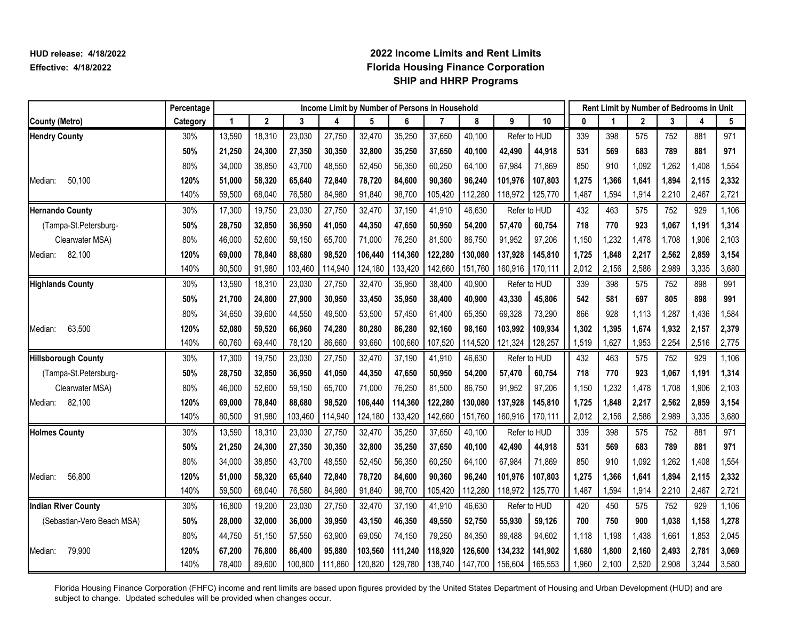|                            | Percentage |        |             |         | Income Limit by Number of Persons in Household |         |         |         |         |         |              |       |       |              |       | Rent Limit by Number of Bedrooms in Unit |       |
|----------------------------|------------|--------|-------------|---------|------------------------------------------------|---------|---------|---------|---------|---------|--------------|-------|-------|--------------|-------|------------------------------------------|-------|
| <b>County (Metro)</b>      | Category   | 1      | $\mathbf 2$ | 3       | 4                                              | 5       | 6       | 7       | 8       | 9       | 10           | 0     |       | $\mathbf{2}$ | 3     | 4                                        | 5     |
| <b>Hendry County</b>       | 30%        | 13,590 | 18,310      | 23,030  | 27,750                                         | 32,470  | 35,250  | 37,650  | 40,100  |         | Refer to HUD | 339   | 398   | 575          | 752   | 881                                      | 971   |
|                            | 50%        | 21,250 | 24,300      | 27,350  | 30,350                                         | 32,800  | 35,250  | 37,650  | 40,100  | 42,490  | 44,918       | 531   | 569   | 683          | 789   | 881                                      | 971   |
|                            | 80%        | 34,000 | 38,850      | 43,700  | 48,550                                         | 52,450  | 56,350  | 60,250  | 64,100  | 67,984  | 71,869       | 850   | 910   | 1,092        | 1,262 | 1,408                                    | 1,554 |
| 50,100<br>Median:          | 120%       | 51,000 | 58,320      | 65,640  | 72,840                                         | 78,720  | 84,600  | 90,360  | 96,240  | 101,976 | 107,803      | 1,275 | 1,366 | 1,641        | 1,894 | 2,115                                    | 2,332 |
|                            | 140%       | 59,500 | 68,040      | 76,580  | 84,980                                         | 91,840  | 98,700  | 105,420 | 112,280 | 118,972 | 125,770      | 1,487 | 1,594 | 1,914        | 2,210 | 2,467                                    | 2,721 |
| <b>Hernando County</b>     | 30%        | 17,300 | 19,750      | 23,030  | 27,750                                         | 32,470  | 37,190  | 41,910  | 46,630  |         | Refer to HUD | 432   | 463   | 575          | 752   | 929                                      | 1,106 |
| (Tampa-St.Petersburg-      | 50%        | 28,750 | 32,850      | 36,950  | 41,050                                         | 44,350  | 47,650  | 50,950  | 54,200  | 57,470  | 60,754       | 718   | 770   | 923          | 1,067 | 1,191                                    | 1,314 |
| Clearwater MSA)            | 80%        | 46,000 | 52,600      | 59,150  | 65,700                                         | 71,000  | 76,250  | 81,500  | 86,750  | 91,952  | 97,206       | 1,150 | 1,232 | 1,478        | 1,708 | 1,906                                    | 2,103 |
| 82,100<br>Median:          | 120%       | 69,000 | 78,840      | 88,680  | 98,520                                         | 106,440 | 114,360 | 122,280 | 130,080 | 137,928 | 145,810      | 1,725 | 1,848 | 2,217        | 2,562 | 2,859                                    | 3,154 |
|                            | 140%       | 80,500 | 91,980      | 103,460 | 114,940                                        | 124,180 | 133,420 | 142,660 | 151,760 | 160,916 | 170,111      | 2,012 | 2,156 | 2,586        | 2,989 | 3,335                                    | 3,680 |
| <b>Highlands County</b>    | 30%        | 13,590 | 18,310      | 23,030  | 27,750                                         | 32,470  | 35,950  | 38,400  | 40,900  |         | Refer to HUD | 339   | 398   | 575          | 752   | 898                                      | 991   |
|                            | 50%        | 21,700 | 24,800      | 27,900  | 30,950                                         | 33,450  | 35,950  | 38,400  | 40,900  | 43,330  | 45,806       | 542   | 581   | 697          | 805   | 898                                      | 991   |
|                            | 80%        | 34,650 | 39,600      | 44,550  | 49,500                                         | 53,500  | 57,450  | 61,400  | 65,350  | 69,328  | 73,290       | 866   | 928   | 1,113        | 1,287 | 1,436                                    | 1,584 |
| 63,500<br>Median:          | 120%       | 52,080 | 59,520      | 66,960  | 74,280                                         | 80,280  | 86,280  | 92,160  | 98,160  | 103,992 | 109,934      | 1,302 | 1,395 | 1,674        | 1,932 | 2,157                                    | 2,379 |
|                            | 140%       | 60,760 | 69,440      | 78,120  | 86,660                                         | 93,660  | 100,660 | 107,520 | 114,520 | 121,324 | 128,257      | 1,519 | 1,627 | 1,953        | 2,254 | 2,516                                    | 2,775 |
| <b>Hillsborough County</b> | 30%        | 17,300 | 19,750      | 23,030  | 27,750                                         | 32,470  | 37,190  | 41,910  | 46,630  |         | Refer to HUD | 432   | 463   | 575          | 752   | 929                                      | 1,106 |
| (Tampa-St.Petersburg-      | 50%        | 28,750 | 32,850      | 36,950  | 41,050                                         | 44,350  | 47,650  | 50,950  | 54,200  | 57,470  | 60,754       | 718   | 770   | 923          | 1,067 | 1,191                                    | 1,314 |
| Clearwater MSA)            | 80%        | 46,000 | 52,600      | 59,150  | 65,700                                         | 71,000  | 76,250  | 81,500  | 86,750  | 91,952  | 97,206       | 1,150 | 1,232 | 1,478        | 1,708 | 1,906                                    | 2,103 |
| 82,100<br>Median:          | 120%       | 69,000 | 78,840      | 88,680  | 98,520                                         | 106,440 | 114,360 | 122,280 | 130,080 | 137,928 | 145,810      | 1,725 | 1,848 | 2,217        | 2,562 | 2,859                                    | 3,154 |
|                            | 140%       | 80,500 | 91,980      | 103,460 | 114,940                                        | 124,180 | 133,420 | 142,660 | 151,760 | 160,916 | 170,111      | 2,012 | 2,156 | 2,586        | 2,989 | 3,335                                    | 3,680 |
| <b>Holmes County</b>       | 30%        | 13,590 | 18,310      | 23,030  | 27,750                                         | 32,470  | 35,250  | 37,650  | 40,100  |         | Refer to HUD | 339   | 398   | 575          | 752   | 881                                      | 971   |
|                            | 50%        | 21,250 | 24,300      | 27,350  | 30,350                                         | 32,800  | 35,250  | 37,650  | 40,100  | 42,490  | 44,918       | 531   | 569   | 683          | 789   | 881                                      | 971   |
|                            | 80%        | 34,000 | 38,850      | 43,700  | 48,550                                         | 52,450  | 56,350  | 60,250  | 64,100  | 67,984  | 71,869       | 850   | 910   | 1,092        | 1,262 | 1,408                                    | 1,554 |
| 56,800<br>Median:          | 120%       | 51,000 | 58,320      | 65,640  | 72,840                                         | 78,720  | 84,600  | 90,360  | 96,240  | 101,976 | 107,803      | 1,275 | 1,366 | 1,641        | 1,894 | 2,115                                    | 2,332 |
|                            | 140%       | 59,500 | 68,040      | 76,580  | 84,980                                         | 91,840  | 98,700  | 105,420 | 112,280 | 118,972 | 125,770      | 1,487 | 1,594 | 1,914        | 2,210 | 2,467                                    | 2,721 |
| <b>Indian River County</b> | 30%        | 16,800 | 19,200      | 23,030  | 27,750                                         | 32,470  | 37,190  | 41,910  | 46,630  |         | Refer to HUD | 420   | 450   | 575          | 752   | 929                                      | 1,106 |
| (Sebastian-Vero Beach MSA) | 50%        | 28,000 | 32,000      | 36,000  | 39,950                                         | 43,150  | 46,350  | 49,550  | 52,750  | 55,930  | 59,126       | 700   | 750   | 900          | 1,038 | 1,158                                    | 1,278 |
|                            | 80%        | 44,750 | 51,150      | 57,550  | 63,900                                         | 69,050  | 74,150  | 79,250  | 84,350  | 89,488  | 94,602       | 1,118 | 1,198 | 1,438        | 1,661 | 1,853                                    | 2,045 |
| 79,900<br>Median:          | 120%       | 67,200 | 76,800      | 86,400  | 95,880                                         | 103,560 | 111,240 | 118,920 | 126,600 | 134,232 | 141,902      | 1,680 | 1,800 | 2,160        | 2,493 | 2,781                                    | 3,069 |
|                            | 140%       | 78,400 | 89,600      | 100,800 | 111,860                                        | 120,820 | 129,780 | 138,740 | 147,700 | 156,604 | 165,553      | 1,960 | 2,100 | 2,520        | 2,908 | 3,244                                    | 3,580 |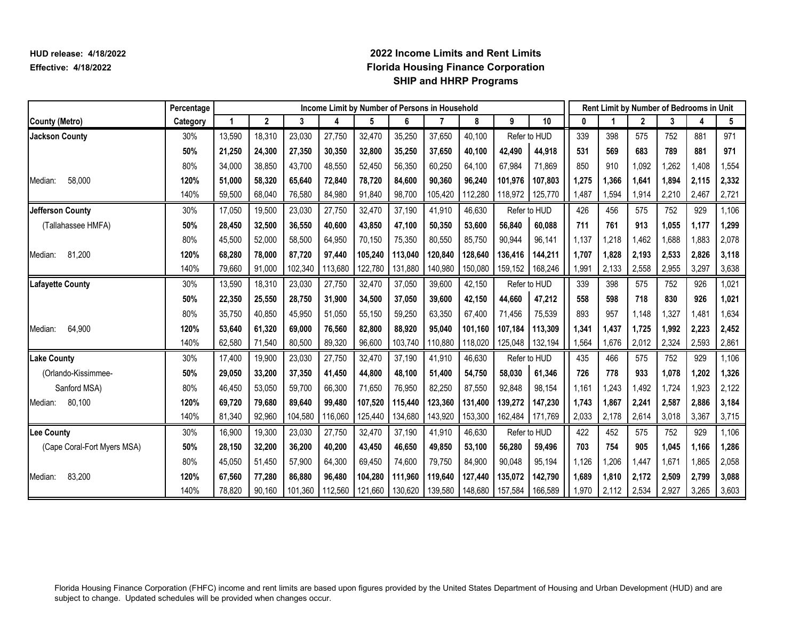|                             | Percentage |        |              |         | Income Limit by Number of Persons in Household |         |         |         |         |         | Rent Limit by Number of Bedrooms in Unit |       |       |              |       |       |       |
|-----------------------------|------------|--------|--------------|---------|------------------------------------------------|---------|---------|---------|---------|---------|------------------------------------------|-------|-------|--------------|-------|-------|-------|
| <b>County (Metro)</b>       | Category   | 1      | $\mathbf{2}$ | 3       | 4                                              | 5       | 6       | 7       | 8       | 9       | 10                                       | 0     |       | $\mathbf{2}$ | 3     | 4     | 5     |
| <b>Jackson County</b>       | 30%        | 13,590 | 18,310       | 23,030  | 27,750                                         | 32,470  | 35,250  | 37,650  | 40,100  |         | Refer to HUD                             | 339   | 398   | 575          | 752   | 881   | 971   |
|                             | 50%        | 21,250 | 24.300       | 27,350  | 30.350                                         | 32,800  | 35,250  | 37,650  | 40.100  | 42,490  | 44,918                                   | 531   | 569   | 683          | 789   | 881   | 971   |
|                             | 80%        | 34,000 | 38,850       | 43,700  | 48,550                                         | 52,450  | 56,350  | 60,250  | 64,100  | 67,984  | 71,869                                   | 850   | 910   | 1,092        | ,262  | ,408  | 1,554 |
| 58,000<br>Median:           | 120%       | 51,000 | 58,320       | 65,640  | 72,840                                         | 78,720  | 84,600  | 90,360  | 96,240  | 101.976 | 107,803                                  | 1,275 | 1,366 | 1.641        | 1,894 | 2,115 | 2,332 |
|                             | 140%       | 59,500 | 68,040       | 76,580  | 84,980                                         | 91,840  | 98,700  | 105,420 | 112,280 | 118,972 | 125,770                                  | 1,487 | 1,594 | 1,914        | 2,210 | 2,467 | 2,721 |
| Jefferson County            | 30%        | 17,050 | 19,500       | 23,030  | 27,750                                         | 32,470  | 37,190  | 41,910  | 46,630  |         | Refer to HUD                             | 426   | 456   | 575          | 752   | 929   | 1,106 |
| (Tallahassee HMFA)          | 50%        | 28,450 | 32.500       | 36.550  | 40,600                                         | 43.850  | 47.100  | 50,350  | 53.600  | 56,840  | 60,088                                   | 711   | 761   | 913          | 1.055 | 1,177 | 1,299 |
|                             | 80%        | 45,500 | 52,000       | 58,500  | 64,950                                         | 70,150  | 75,350  | 80,550  | 85,750  | 90,944  | 96,141                                   | 1,137 | 1,218 | 1,462        | 1,688 | 1,883 | 2,078 |
| 81,200<br>Median:           | 120%       | 68,280 | 78,000       | 87,720  | 97,440                                         | 105,240 | 113,040 | 120,840 | 128,640 | 136,416 | 144,211                                  | 1,707 | 1,828 | 2,193        | 2,533 | 2,826 | 3,118 |
|                             | 140%       | 79,660 | 91,000       | 102,340 | 113,680                                        | 122,780 | 131,880 | 140,980 | 150,080 | 159,152 | 168,246                                  | 1,991 | 2,133 | 2,558        | 2,955 | 3,297 | 3,638 |
| <b>Lafayette County</b>     | 30%        | 13,590 | 18,310       | 23,030  | 27,750                                         | 32,470  | 37,050  | 39,600  | 42,150  |         | Refer to HUD                             | 339   | 398   | 575          | 752   | 926   | 1,021 |
|                             | 50%        | 22,350 | 25,550       | 28,750  | 31,900                                         | 34,500  | 37,050  | 39,600  | 42,150  | 44,660  | 47,212                                   | 558   | 598   | 718          | 830   | 926   | 1,021 |
|                             | 80%        | 35,750 | 40,850       | 45,950  | 51,050                                         | 55,150  | 59,250  | 63,350  | 67,400  | 71,456  | 75,539                                   | 893   | 957   | 1,148        | 1,327 | 1,481 | 1,634 |
| 64,900<br>Median:           | 120%       | 53,640 | 61,320       | 69,000  | 76,560                                         | 82,800  | 88,920  | 95,040  | 101.160 | 107.184 | 113,309                                  | 1,341 | 1,437 | 1,725        | 1,992 | 2,223 | 2,452 |
|                             | 140%       | 62,580 | 71,540       | 80,500  | 89,320                                         | 96,600  | 103,740 | 110,880 | 118,020 | 125,048 | 132,194                                  | 1,564 | 1,676 | 2,012        | 2,324 | 2,593 | 2,861 |
| <b>Lake County</b>          | 30%        | 17,400 | 19,900       | 23,030  | 27,750                                         | 32,470  | 37,190  | 41,910  | 46,630  |         | Refer to HUD                             | 435   | 466   | 575          | 752   | 929   | 1,106 |
| (Orlando-Kissimmee-         | 50%        | 29,050 | 33,200       | 37,350  | 41,450                                         | 44,800  | 48,100  | 51,400  | 54,750  | 58,030  | 61,346                                   | 726   | 778   | 933          | 1,078 | 1,202 | 1,326 |
| Sanford MSA)                | 80%        | 46,450 | 53,050       | 59,700  | 66,300                                         | 71,650  | 76,950  | 82,250  | 87,550  | 92,848  | 98,154                                   | 1,161 | 1,243 | 1,492        | 1,724 | 1,923 | 2,122 |
| 80,100<br>Median:           | 120%       | 69,720 | 79,680       | 89.640  | 99,480                                         | 107,520 | 115,440 | 123,360 | 131,400 | 139,272 | 147,230                                  | 1,743 | 1.867 | 2,241        | 2,587 | 2,886 | 3,184 |
|                             | 140%       | 81,340 | 92,960       | 104,580 | 116,060                                        | 125,440 | 134,680 | 143,920 | 153,300 | 162,484 | 171,769                                  | 2,033 | 2,178 | 2,614        | 3,018 | 3,367 | 3,715 |
| Lee County                  | 30%        | 16,900 | 19,300       | 23,030  | 27,750                                         | 32,470  | 37,190  | 41,910  | 46.630  |         | Refer to HUD                             | 422   | 452   | 575          | 752   | 929   | 1,106 |
| (Cape Coral-Fort Myers MSA) | 50%        | 28,150 | 32,200       | 36,200  | 40,200                                         | 43,450  | 46,650  | 49,850  | 53,100  | 56,280  | 59,496                                   | 703   | 754   | 905          | 1,045 | 1,166 | 1,286 |
|                             | 80%        | 45,050 | 51,450       | 57,900  | 64,300                                         | 69,450  | 74,600  | 79,750  | 84,900  | 90,048  | 95,194                                   | 1,126 | 1,206 | 1,447        | 1,671 | 1,865 | 2,058 |
| 83,200<br>Median:           | 120%       | 67,560 | 77,280       | 86,880  | 96,480                                         | 104,280 | 111.960 | 119,640 | 127,440 | 135,072 | 142,790                                  | 1,689 | 1,810 | 2,172        | 2,509 | 2,799 | 3,088 |
|                             | 140%       | 78,820 | 90,160       | 101,360 | 112,560                                        | 121,660 | 130,620 | 139,580 | 148,680 | 157,584 | 166,589                                  | 1,970 | 2,112 | 2,534        | 2,927 | 3,265 | 3,603 |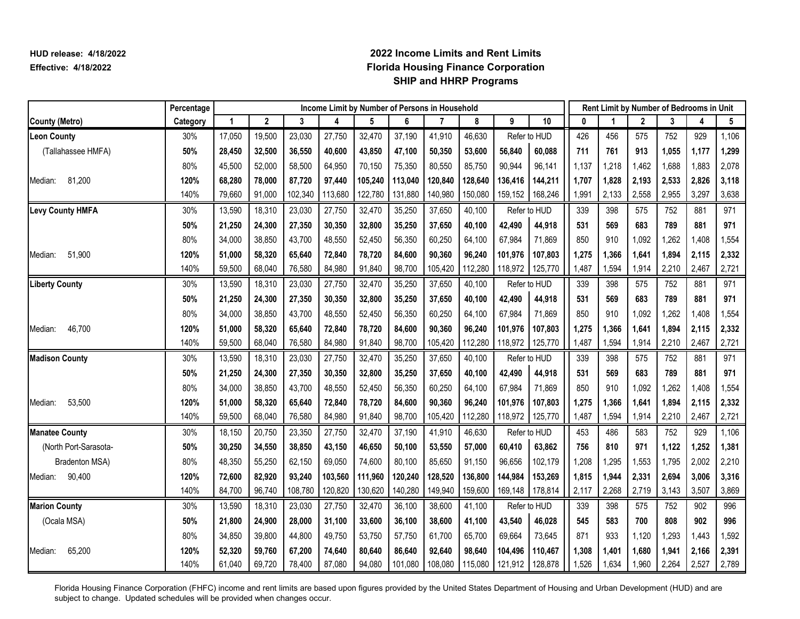|                         | Percentage |        |             |         | Income Limit by Number of Persons in Household |         |         |         |         |         |              |       |       |              |       | Rent Limit by Number of Bedrooms in Unit |       |
|-------------------------|------------|--------|-------------|---------|------------------------------------------------|---------|---------|---------|---------|---------|--------------|-------|-------|--------------|-------|------------------------------------------|-------|
| <b>County (Metro)</b>   | Category   | 1      | $\mathbf 2$ | 3       | 4                                              | 5       | 6       | 7       | 8       | 9       | 10           | 0     |       | $\mathbf{2}$ | 3     | 4                                        | 5     |
| <b>Leon County</b>      | 30%        | 17,050 | 19,500      | 23,030  | 27,750                                         | 32,470  | 37,190  | 41,910  | 46,630  |         | Refer to HUD | 426   | 456   | 575          | 752   | 929                                      | 1,106 |
| (Tallahassee HMFA)      | 50%        | 28,450 | 32,500      | 36,550  | 40,600                                         | 43,850  | 47,100  | 50,350  | 53,600  | 56,840  | 60,088       | 711   | 761   | 913          | 1,055 | 1,177                                    | 1,299 |
|                         | 80%        | 45,500 | 52,000      | 58,500  | 64,950                                         | 70,150  | 75,350  | 80,550  | 85,750  | 90,944  | 96,141       | 1,137 | 1,218 | 1,462        | 1,688 | 1,883                                    | 2,078 |
| 81,200<br>Median:       | 120%       | 68,280 | 78,000      | 87,720  | 97,440                                         | 105,240 | 113,040 | 120,840 | 128,640 | 136,416 | 144,211      | 1,707 | 1,828 | 2,193        | 2,533 | 2,826                                    | 3,118 |
|                         | 140%       | 79,660 | 91,000      | 102,340 | 113,680                                        | 122,780 | 131,880 | 140,980 | 150,080 | 159,152 | 168,246      | 1,991 | 2,133 | 2,558        | 2,955 | 3,297                                    | 3,638 |
| <b>Levy County HMFA</b> | 30%        | 13,590 | 18,310      | 23,030  | 27,750                                         | 32,470  | 35,250  | 37,650  | 40,100  |         | Refer to HUD | 339   | 398   | 575          | 752   | 881                                      | 971   |
|                         | 50%        | 21,250 | 24,300      | 27,350  | 30,350                                         | 32,800  | 35,250  | 37,650  | 40,100  | 42,490  | 44,918       | 531   | 569   | 683          | 789   | 881                                      | 971   |
|                         | 80%        | 34,000 | 38,850      | 43,700  | 48,550                                         | 52,450  | 56,350  | 60,250  | 64,100  | 67,984  | 71,869       | 850   | 910   | 1,092        | 1,262 | 1,408                                    | 1,554 |
| 51,900<br>Median:       | 120%       | 51,000 | 58,320      | 65,640  | 72,840                                         | 78,720  | 84,600  | 90,360  | 96,240  | 101,976 | 107,803      | 1,275 | 1,366 | 1,641        | 1,894 | 2,115                                    | 2,332 |
|                         | 140%       | 59,500 | 68,040      | 76,580  | 84,980                                         | 91,840  | 98,700  | 105,420 | 112,280 | 118,972 | 125,770      | 1,487 | 1,594 | 1,914        | 2,210 | 2,467                                    | 2,721 |
| <b>Liberty County</b>   | 30%        | 13,590 | 18,310      | 23,030  | 27,750                                         | 32,470  | 35,250  | 37,650  | 40,100  |         | Refer to HUD | 339   | 398   | 575          | 752   | 881                                      | 971   |
|                         | 50%        | 21,250 | 24,300      | 27,350  | 30,350                                         | 32,800  | 35,250  | 37,650  | 40,100  | 42,490  | 44,918       | 531   | 569   | 683          | 789   | 881                                      | 971   |
|                         | 80%        | 34,000 | 38,850      | 43,700  | 48,550                                         | 52,450  | 56,350  | 60,250  | 64,100  | 67,984  | 71,869       | 850   | 910   | 1,092        | 1,262 | 1,408                                    | 1,554 |
| 46,700<br>Median:       | 120%       | 51,000 | 58,320      | 65,640  | 72,840                                         | 78,720  | 84,600  | 90,360  | 96,240  | 101,976 | 107,803      | 1,275 | 1,366 | 1,641        | 1,894 | 2,115                                    | 2,332 |
|                         | 140%       | 59,500 | 68,040      | 76,580  | 84,980                                         | 91,840  | 98,700  | 105,420 | 112,280 | 118,972 | 125,770      | 1,487 | 1,594 | 1,914        | 2,210 | 2,467                                    | 2,721 |
| <b>Madison County</b>   | 30%        | 13,590 | 18,310      | 23,030  | 27,750                                         | 32,470  | 35,250  | 37,650  | 40,100  |         | Refer to HUD | 339   | 398   | 575          | 752   | 881                                      | 971   |
|                         | 50%        | 21,250 | 24,300      | 27,350  | 30,350                                         | 32,800  | 35,250  | 37,650  | 40,100  | 42,490  | 44,918       | 531   | 569   | 683          | 789   | 881                                      | 971   |
|                         | 80%        | 34,000 | 38,850      | 43,700  | 48,550                                         | 52,450  | 56,350  | 60,250  | 64,100  | 67,984  | 71,869       | 850   | 910   | 1,092        | 1,262 | 1,408                                    | 1,554 |
| 53,500<br>Median:       | 120%       | 51,000 | 58,320      | 65,640  | 72,840                                         | 78,720  | 84,600  | 90,360  | 96,240  | 101.976 | 107,803      | 1,275 | 1,366 | 1,641        | 1,894 | 2,115                                    | 2,332 |
|                         | 140%       | 59,500 | 68,040      | 76,580  | 84,980                                         | 91,840  | 98,700  | 105,420 | 112,280 | 118,972 | 125,770      | 1,487 | 1,594 | 1,914        | 2,210 | 2,467                                    | 2,721 |
| <b>Manatee County</b>   | 30%        | 18,150 | 20,750      | 23,350  | 27,750                                         | 32,470  | 37,190  | 41,910  | 46,630  |         | Refer to HUD | 453   | 486   | 583          | 752   | 929                                      | 1,106 |
| (North Port-Sarasota-   | 50%        | 30,250 | 34,550      | 38,850  | 43,150                                         | 46,650  | 50,100  | 53,550  | 57,000  | 60,410  | 63,862       | 756   | 810   | 971          | 1,122 | 1,252                                    | 1,381 |
| <b>Bradenton MSA)</b>   | 80%        | 48,350 | 55,250      | 62,150  | 69,050                                         | 74,600  | 80,100  | 85,650  | 91,150  | 96,656  | 102,179      | 1,208 | 1,295 | 1,553        | 1,795 | 2,002                                    | 2,210 |
| Median: 90,400          | 120%       | 72,600 | 82,920      | 93,240  | 103,560                                        | 111,960 | 120,240 | 128,520 | 136,800 | 144,984 | 153,269      | 1,815 | 1,944 | 2,331        | 2,694 | 3,006                                    | 3,316 |
|                         | 140%       | 84,700 | 96,740      | 108,780 | 120,820                                        | 130,620 | 140,280 | 149,940 | 159,600 | 169,148 | 178,814      | 2,117 | 2,268 | 2,719        | 3,143 | 3,507                                    | 3,869 |
| <b>Marion County</b>    | 30%        | 13,590 | 18,310      | 23,030  | 27,750                                         | 32,470  | 36,100  | 38,600  | 41,100  |         | Refer to HUD | 339   | 398   | 575          | 752   | 902                                      | 996   |
| (Ocala MSA)             | 50%        | 21,800 | 24,900      | 28,000  | 31,100                                         | 33,600  | 36,100  | 38,600  | 41,100  | 43,540  | 46,028       | 545   | 583   | 700          | 808   | 902                                      | 996   |
|                         | 80%        | 34,850 | 39,800      | 44,800  | 49,750                                         | 53,750  | 57,750  | 61,700  | 65,700  | 69,664  | 73,645       | 871   | 933   | 1,120        | 1,293 | 1,443                                    | 1,592 |
| 65,200<br>Median:       | 120%       | 52,320 | 59,760      | 67,200  | 74,640                                         | 80,640  | 86,640  | 92,640  | 98,640  | 104,496 | 110,467      | 1,308 | 1.401 | 1,680        | 1,941 | 2,166                                    | 2,391 |
|                         | 140%       | 61,040 | 69,720      | 78,400  | 87,080                                         | 94,080  | 101,080 | 108,080 | 115,080 | 121,912 | 128,878      | 1,526 | 1,634 | 1,960        | 2,264 | 2,527                                    | 2,789 |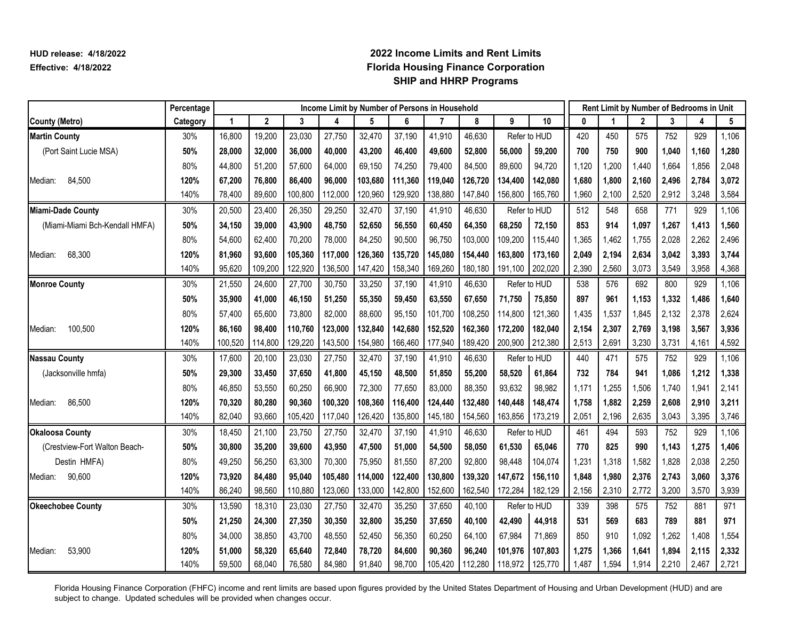|                                | Percentage |         |             |         | Income Limit by Number of Persons in Household |         |         |         |         |         |              |       |       |              |       | Rent Limit by Number of Bedrooms in Unit |       |
|--------------------------------|------------|---------|-------------|---------|------------------------------------------------|---------|---------|---------|---------|---------|--------------|-------|-------|--------------|-------|------------------------------------------|-------|
| <b>County (Metro)</b>          | Category   |         | $\mathbf 2$ | 3       | 4                                              | 5       | 6       | 7       | 8       | 9       | 10           | 0     |       | $\mathbf{2}$ | 3     | 4                                        | 5     |
| <b>Martin County</b>           | 30%        | 16,800  | 19,200      | 23,030  | 27,750                                         | 32,470  | 37,190  | 41,910  | 46,630  |         | Refer to HUD | 420   | 450   | 575          | 752   | 929                                      | 1,106 |
| (Port Saint Lucie MSA)         | 50%        | 28,000  | 32,000      | 36,000  | 40,000                                         | 43,200  | 46,400  | 49,600  | 52,800  | 56,000  | 59,200       | 700   | 750   | 900          | 1,040 | 1,160                                    | 1,280 |
|                                | 80%        | 44,800  | 51,200      | 57,600  | 64,000                                         | 69,150  | 74,250  | 79,400  | 84,500  | 89,600  | 94,720       | 1,120 | 1,200 | 1,440        | 1,664 | 1,856                                    | 2,048 |
| 84,500<br>Median:              | 120%       | 67,200  | 76,800      | 86,400  | 96,000                                         | 103,680 | 111,360 | 119,040 | 126,720 | 134,400 | 142,080      | 1,680 | 1,800 | 2,160        | 2,496 | 2,784                                    | 3,072 |
|                                | 140%       | 78,400  | 89,600      | 100,800 | 112,000                                        | 120,960 | 129,920 | 138,880 | 147,840 | 156,800 | 165,760      | 1,960 | 2,100 | 2,520        | 2,912 | 3,248                                    | 3,584 |
| Miami-Dade County              | 30%        | 20,500  | 23,400      | 26,350  | 29,250                                         | 32,470  | 37,190  | 41,910  | 46,630  |         | Refer to HUD | 512   | 548   | 658          | 771   | 929                                      | 1,106 |
| (Miami-Miami Bch-Kendall HMFA) | 50%        | 34,150  | 39,000      | 43,900  | 48,750                                         | 52,650  | 56,550  | 60,450  | 64,350  | 68,250  | 72,150       | 853   | 914   | 1,097        | 1,267 | 1,413                                    | 1,560 |
|                                | 80%        | 54,600  | 62,400      | 70,200  | 78,000                                         | 84,250  | 90,500  | 96,750  | 103,000 | 109,200 | 115,440      | 1,365 | 1,462 | 1,755        | 2,028 | 2,262                                    | 2,496 |
| 68,300<br>Median:              | 120%       | 81,960  | 93,600      | 105,360 | 117,000                                        | 126,360 | 135,720 | 145,080 | 154,440 | 163,800 | 173,160      | 2,049 | 2,194 | 2,634        | 3,042 | 3,393                                    | 3,744 |
|                                | 140%       | 95,620  | 109,200     | 122,920 | 136,500                                        | 147,420 | 158,340 | 169,260 | 180,180 | 191,100 | 202,020      | 2,390 | 2,560 | 3,073        | 3,549 | 3,958                                    | 4,368 |
| <b>Monroe County</b>           | 30%        | 21,550  | 24,600      | 27,700  | 30,750                                         | 33,250  | 37,190  | 41,910  | 46,630  |         | Refer to HUD | 538   | 576   | 692          | 800   | 929                                      | 1,106 |
|                                | 50%        | 35,900  | 41,000      | 46,150  | 51,250                                         | 55,350  | 59,450  | 63,550  | 67,650  | 71,750  | 75,850       | 897   | 961   | 1,153        | 1.332 | 1,486                                    | 1,640 |
|                                | 80%        | 57,400  | 65,600      | 73,800  | 82,000                                         | 88,600  | 95,150  | 101,700 | 108,250 | 114,800 | 121,360      | 1,435 | 1,537 | 1,845        | 2,132 | 2,378                                    | 2,624 |
| 100,500<br>Median:             | 120%       | 86,160  | 98,400      | 110,760 | 123,000                                        | 132,840 | 142,680 | 152,520 | 162,360 | 172,200 | 182,040      | 2,154 | 2,307 | 2,769        | 3,198 | 3,567                                    | 3,936 |
|                                | 140%       | 100,520 | 114,800     | 129,220 | 143,500                                        | 154,980 | 166,460 | 177,940 | 189,420 | 200,900 | 212,380      | 2,513 | 2,691 | 3,230        | 3,731 | 4,161                                    | 4,592 |
| <b>Nassau County</b>           | 30%        | 17,600  | 20,100      | 23,030  | 27,750                                         | 32,470  | 37,190  | 41,910  | 46,630  |         | Refer to HUD | 440   | 471   | 575          | 752   | 929                                      | 1,106 |
| (Jacksonville hmfa)            | 50%        | 29,300  | 33,450      | 37,650  | 41,800                                         | 45,150  | 48,500  | 51,850  | 55,200  | 58,520  | 61,864       | 732   | 784   | 941          | 1.086 | 1,212                                    | 1,338 |
|                                | 80%        | 46,850  | 53,550      | 60,250  | 66,900                                         | 72,300  | 77,650  | 83,000  | 88,350  | 93,632  | 98,982       | 1,171 | 1,255 | 1,506        | 1,740 | 1,941                                    | 2,141 |
| 86,500<br>Median:              | 120%       | 70,320  | 80,280      | 90,360  | 100,320                                        | 108,360 | 116,400 | 124,440 | 132,480 | 140.448 | 148,474      | 1,758 | 1,882 | 2,259        | 2,608 | 2,910                                    | 3,211 |
|                                | 140%       | 82,040  | 93,660      | 105,420 | 117,040                                        | 126,420 | 135,800 | 145,180 | 154,560 | 163,856 | 173,219      | 2,051 | 2,196 | 2,635        | 3,043 | 3,395                                    | 3,746 |
| <b>Okaloosa County</b>         | 30%        | 18,450  | 21,100      | 23,750  | 27,750                                         | 32,470  | 37,190  | 41,910  | 46,630  |         | Refer to HUD | 461   | 494   | 593          | 752   | 929                                      | 1,106 |
| (Crestview-Fort Walton Beach-  | 50%        | 30,800  | 35,200      | 39,600  | 43,950                                         | 47,500  | 51,000  | 54,500  | 58,050  | 61,530  | 65,046       | 770   | 825   | 990          | 1,143 | 1,275                                    | 1,406 |
| Destin HMFA)                   | 80%        | 49,250  | 56,250      | 63,300  | 70,300                                         | 75,950  | 81,550  | 87,200  | 92,800  | 98,448  | 104,074      | 1,231 | 1,318 | 1,582        | 1,828 | 2,038                                    | 2,250 |
| Median: 90,600                 | 120%       | 73,920  | 84,480      | 95,040  | 105,480                                        | 114,000 | 122,400 | 130,800 | 139,320 | 147,672 | 156,110      | 1,848 | 1,980 | 2,376        | 2,743 | 3,060                                    | 3,376 |
|                                | 140%       | 86,240  | 98,560      | 110,880 | 123,060                                        | 133,000 | 142,800 | 152,600 | 162,540 | 172,284 | 182,129      | 2,156 | 2,310 | 2,772        | 3,200 | 3,570                                    | 3,939 |
| <b>Okeechobee County</b>       | 30%        | 13,590  | 18,310      | 23,030  | 27,750                                         | 32,470  | 35,250  | 37,650  | 40,100  |         | Refer to HUD | 339   | 398   | 575          | 752   | 881                                      | 971   |
|                                | 50%        | 21,250  | 24,300      | 27,350  | 30,350                                         | 32,800  | 35,250  | 37,650  | 40,100  | 42,490  | 44,918       | 531   | 569   | 683          | 789   | 881                                      | 971   |
|                                | 80%        | 34,000  | 38,850      | 43,700  | 48,550                                         | 52,450  | 56,350  | 60,250  | 64,100  | 67,984  | 71,869       | 850   | 910   | 1,092        | 1,262 | 1,408                                    | 1,554 |
| 53,900<br>Median:              | 120%       | 51,000  | 58,320      | 65,640  | 72,840                                         | 78,720  | 84,600  | 90,360  | 96,240  | 101,976 | 107,803      | 1,275 | 1.366 | 1,641        | 1,894 | 2,115                                    | 2,332 |
|                                | 140%       | 59,500  | 68,040      | 76,580  | 84,980                                         | 91,840  | 98,700  | 105,420 | 112,280 | 118,972 | 125,770      | 1,487 | 1,594 | 1,914        | 2,210 | 2,467                                    | 2,721 |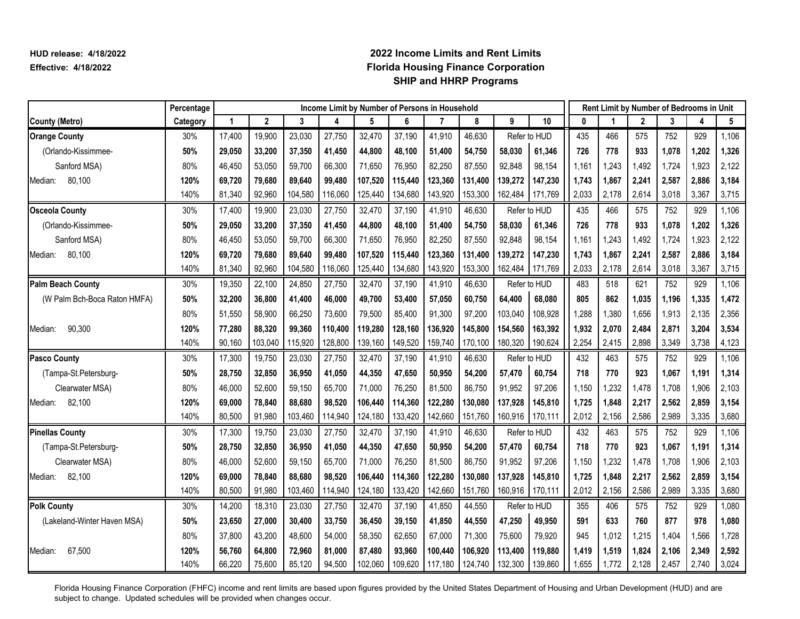|                              | Percentage |        |              |         | Income Limit by Number of Persons in Household |         |         |         |         |         |              |       |       |              |       | Rent Limit by Number of Bedrooms in Unit |       |
|------------------------------|------------|--------|--------------|---------|------------------------------------------------|---------|---------|---------|---------|---------|--------------|-------|-------|--------------|-------|------------------------------------------|-------|
| <b>County (Metro)</b>        | Category   | 1      | $\mathbf{2}$ | 3       | 4                                              | 5       | 6       | 7       | 8       | 9       | 10           | 0     |       | $\mathbf{2}$ | 3     | 4                                        | 5     |
| <b>Orange County</b>         | 30%        | 17,400 | 19,900       | 23,030  | 27,750                                         | 32,470  | 37,190  | 41,910  | 46,630  |         | Refer to HUD | 435   | 466   | 575          | 752   | 929                                      | 1,106 |
| (Orlando-Kissimmee-          | 50%        | 29,050 | 33,200       | 37,350  | 41,450                                         | 44,800  | 48,100  | 51,400  | 54,750  | 58,030  | 61,346       | 726   | 778   | 933          | 1,078 | 1,202                                    | 1,326 |
| Sanford MSA)                 | 80%        | 46,450 | 53,050       | 59,700  | 66,300                                         | 71,650  | 76,950  | 82,250  | 87,550  | 92,848  | 98,154       | 1,161 | 1,243 | 1,492        | 1,724 | 1,923                                    | 2,122 |
| 80,100<br>Median:            | 120%       | 69,720 | 79,680       | 89,640  | 99,480                                         | 107,520 | 115,440 | 123,360 | 131,400 | 139,272 | 147,230      | 1,743 | 1,867 | 2,241        | 2,587 | 2,886                                    | 3,184 |
|                              | 140%       | 81,340 | 92,960       | 104,580 | 116,060                                        | 125,440 | 134,680 | 143,920 | 153,300 | 162,484 | 171,769      | 2,033 | 2,178 | 2,614        | 3,018 | 3,367                                    | 3,715 |
| <b>Osceola County</b>        | 30%        | 17,400 | 19,900       | 23,030  | 27,750                                         | 32,470  | 37,190  | 41,910  | 46,630  |         | Refer to HUD | 435   | 466   | 575          | 752   | 929                                      | 1,106 |
| (Orlando-Kissimmee-          | 50%        | 29,050 | 33,200       | 37,350  | 41,450                                         | 44,800  | 48,100  | 51,400  | 54,750  | 58,030  | 61,346       | 726   | 778   | 933          | 1,078 | 1,202                                    | 1,326 |
| Sanford MSA)                 | 80%        | 46,450 | 53,050       | 59,700  | 66,300                                         | 71,650  | 76,950  | 82,250  | 87,550  | 92,848  | 98,154       | 1,161 | 1,243 | 1,492        | 1,724 | 1,923                                    | 2,122 |
| 80,100<br>Median:            | 120%       | 69,720 | 79,680       | 89,640  | 99,480                                         | 107,520 | 115,440 | 123,360 | 131,400 | 139,272 | 147,230      | 1,743 | 1,867 | 2,241        | 2,587 | 2,886                                    | 3,184 |
|                              | 140%       | 81,340 | 92,960       | 104,580 | 116,060                                        | 125,440 | 134,680 | 143,920 | 153,300 | 162,484 | 171,769      | 2,033 | 2,178 | 2,614        | 3,018 | 3,367                                    | 3,715 |
| <b>Palm Beach County</b>     | 30%        | 19,350 | 22,100       | 24,850  | 27,750                                         | 32,470  | 37,190  | 41,910  | 46,630  |         | Refer to HUD | 483   | 518   | 621          | 752   | 929                                      | 1,106 |
| (W Palm Bch-Boca Raton HMFA) | 50%        | 32,200 | 36,800       | 41,400  | 46,000                                         | 49,700  | 53,400  | 57,050  | 60,750  | 64,400  | 68,080       | 805   | 862   | 1,035        | 1.196 | 1,335                                    | 1,472 |
|                              | 80%        | 51,550 | 58,900       | 66,250  | 73,600                                         | 79,500  | 85,400  | 91,300  | 97,200  | 103,040 | 108,928      | 1,288 | 1,380 | 1,656        | 1,913 | 2,135                                    | 2,356 |
| 90,300<br>Median:            | 120%       | 77,280 | 88,320       | 99,360  | 110,400                                        | 119,280 | 128,160 | 136,920 | 145,800 | 154,560 | 163,392      | 1,932 | 2,070 | 2,484        | 2,871 | 3,204                                    | 3,534 |
|                              | 140%       | 90,160 | 103,040      | 115,920 | 128,800                                        | 139,160 | 149,520 | 159,740 | 170,100 | 180,320 | 190,624      | 2,254 | 2,415 | 2,898        | 3,349 | 3,738                                    | 4,123 |
| <b>Pasco County</b>          | 30%        | 17,300 | 19,750       | 23,030  | 27,750                                         | 32,470  | 37,190  | 41,910  | 46,630  |         | Refer to HUD | 432   | 463   | 575          | 752   | 929                                      | 1,106 |
| (Tampa-St.Petersburg-        | 50%        | 28,750 | 32,850       | 36,950  | 41,050                                         | 44,350  | 47,650  | 50,950  | 54,200  | 57,470  | 60,754       | 718   | 770   | 923          | 1,067 | 1,191                                    | 1,314 |
| Clearwater MSA)              | 80%        | 46,000 | 52,600       | 59,150  | 65,700                                         | 71,000  | 76,250  | 81,500  | 86,750  | 91,952  | 97,206       | 1,150 | 1,232 | 1,478        | 1,708 | 1,906                                    | 2,103 |
| 82,100<br>Median:            | 120%       | 69,000 | 78,840       | 88,680  | 98,520                                         | 106,440 | 114,360 | 122,280 | 130,080 | 137.928 | 145,810      | 1,725 | 1,848 | 2,217        | 2,562 | 2,859                                    | 3,154 |
|                              | 140%       | 80,500 | 91,980       | 103,460 | 114,940                                        | 124,180 | 133,420 | 142,660 | 151,760 | 160,916 | 170,111      | 2,012 | 2,156 | 2,586        | 2,989 | 3,335                                    | 3,680 |
| <b>Pinellas County</b>       | 30%        | 17,300 | 19,750       | 23,030  | 27,750                                         | 32,470  | 37,190  | 41,910  | 46,630  |         | Refer to HUD | 432   | 463   | 575          | 752   | 929                                      | 1,106 |
| (Tampa-St.Petersburg-        | 50%        | 28,750 | 32,850       | 36,950  | 41,050                                         | 44,350  | 47,650  | 50,950  | 54,200  | 57,470  | 60,754       | 718   | 770   | 923          | 1,067 | 1,191                                    | 1,314 |
| Clearwater MSA)              | 80%        | 46,000 | 52,600       | 59,150  | 65,700                                         | 71,000  | 76,250  | 81,500  | 86,750  | 91,952  | 97,206       | 1,150 | 1,232 | 1,478        | 1,708 | 1,906                                    | 2,103 |
| 82,100<br>Median:            | 120%       | 69,000 | 78,840       | 88,680  | 98,520                                         | 106,440 | 114,360 | 122,280 | 130,080 | 137,928 | 145,810      | 1,725 | 1,848 | 2,217        | 2,562 | 2,859                                    | 3,154 |
|                              | 140%       | 80,500 | 91,980       | 103,460 | 114,940                                        | 124,180 | 133,420 | 142,660 | 151,760 | 160,916 | 170,111      | 2,012 | 2,156 | 2,586        | 2,989 | 3,335                                    | 3,680 |
| <b>Polk County</b>           | 30%        | 14,200 | 18,310       | 23,030  | 27,750                                         | 32,470  | 37,190  | 41,850  | 44,550  |         | Refer to HUD | 355   | 406   | 575          | 752   | 929                                      | 1,080 |
| (Lakeland-Winter Haven MSA)  | 50%        | 23,650 | 27,000       | 30,400  | 33,750                                         | 36,450  | 39,150  | 41,850  | 44,550  | 47,250  | 49,950       | 591   | 633   | 760          | 877   | 978                                      | 1,080 |
|                              | 80%        | 37,800 | 43,200       | 48,600  | 54,000                                         | 58,350  | 62,650  | 67,000  | 71,300  | 75,600  | 79,920       | 945   | 1,012 | 1,215        | 1.404 | 1,566                                    | 1,728 |
| 67,500<br>Median:            | 120%       | 56,760 | 64,800       | 72,960  | 81,000                                         | 87,480  | 93,960  | 100,440 | 106,920 | 113,400 | 119,880      | 1,419 | 1,519 | 1,824        | 2,106 | 2,349                                    | 2,592 |
|                              | 140%       | 66,220 | 75,600       | 85,120  | 94,500                                         | 102,060 | 109,620 | 117,180 | 124,740 | 132,300 | 139,860      | 1,655 | 1,772 | 2,128        | 2,457 | 2,740                                    | 3,024 |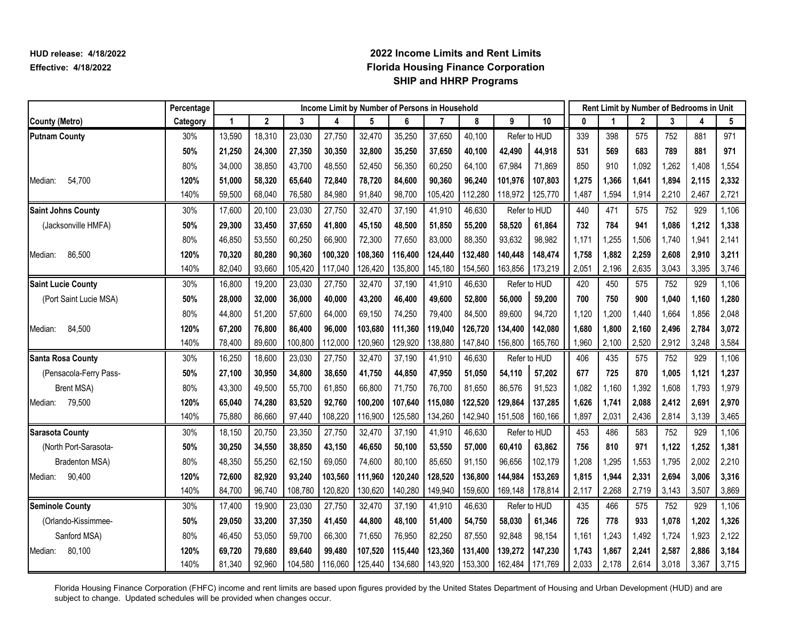|                           | Percentage |        |              |         | Income Limit by Number of Persons in Household |         |         |                |         |         |              |       |       |              |       | Rent Limit by Number of Bedrooms in Unit |       |
|---------------------------|------------|--------|--------------|---------|------------------------------------------------|---------|---------|----------------|---------|---------|--------------|-------|-------|--------------|-------|------------------------------------------|-------|
| <b>County (Metro)</b>     | Category   | 1      | $\mathbf{2}$ | 3       | 4                                              | 5       | 6       | $\overline{7}$ | 8       | 9       | 10           | 0     |       | $\mathbf{2}$ | 3     | 4                                        | 5     |
| <b>Putnam County</b>      | 30%        | 13,590 | 18,310       | 23,030  | 27,750                                         | 32,470  | 35,250  | 37,650         | 40,100  |         | Refer to HUD | 339   | 398   | 575          | 752   | 881                                      | 971   |
|                           | 50%        | 21,250 | 24,300       | 27,350  | 30,350                                         | 32,800  | 35,250  | 37,650         | 40,100  | 42,490  | 44,918       | 531   | 569   | 683          | 789   | 881                                      | 971   |
|                           | 80%        | 34,000 | 38.850       | 43,700  | 48,550                                         | 52,450  | 56,350  | 60,250         | 64,100  | 67,984  | 71,869       | 850   | 910   | 1,092        | 1,262 | 1,408                                    | 1,554 |
| 54,700<br>Median:         | 120%       | 51,000 | 58,320       | 65,640  | 72,840                                         | 78,720  | 84,600  | 90,360         | 96,240  | 101,976 | 107,803      | 1,275 | 1,366 | 1,641        | 1,894 | 2,115                                    | 2,332 |
|                           | 140%       | 59,500 | 68,040       | 76,580  | 84,980                                         | 91,840  | 98,700  | 105,420        | 112,280 | 118,972 | 125,770      | 1,487 | 1,594 | 1,914        | 2,210 | 2,467                                    | 2,721 |
| <b>Saint Johns County</b> | 30%        | 17,600 | 20,100       | 23,030  | 27,750                                         | 32,470  | 37,190  | 41,910         | 46,630  |         | Refer to HUD | 440   | 471   | 575          | 752   | 929                                      | 1,106 |
| (Jacksonville HMFA)       | 50%        | 29,300 | 33,450       | 37,650  | 41,800                                         | 45,150  | 48,500  | 51,850         | 55,200  | 58,520  | 61,864       | 732   | 784   | 941          | 1,086 | 1,212                                    | 1,338 |
|                           | 80%        | 46,850 | 53,550       | 60,250  | 66,900                                         | 72,300  | 77,650  | 83,000         | 88,350  | 93,632  | 98,982       | 1,171 | 1,255 | 1,506        | 1,740 | 1,941                                    | 2,141 |
| 86.500<br>Median:         | 120%       | 70,320 | 80,280       | 90,360  | 100,320                                        | 108,360 | 116,400 | 124,440        | 132,480 | 140.448 | 148,474      | 1,758 | 1,882 | 2,259        | 2,608 | 2,910                                    | 3,211 |
|                           | 140%       | 82,040 | 93,660       | 105,420 | 117,040                                        | 126,420 | 135,800 | 145,180        | 154,560 | 163,856 | 173,219      | 2,051 | 2,196 | 2,635        | 3,043 | 3,395                                    | 3,746 |
| <b>Saint Lucie County</b> | 30%        | 16,800 | 19,200       | 23,030  | 27,750                                         | 32,470  | 37,190  | 41,910         | 46,630  |         | Refer to HUD | 420   | 450   | 575          | 752   | 929                                      | 1,106 |
| (Port Saint Lucie MSA)    | 50%        | 28,000 | 32,000       | 36,000  | 40,000                                         | 43,200  | 46,400  | 49,600         | 52,800  | 56,000  | 59,200       | 700   | 750   | 900          | 1,040 | 1,160                                    | 1,280 |
|                           | 80%        | 44,800 | 51,200       | 57,600  | 64,000                                         | 69,150  | 74,250  | 79,400         | 84,500  | 89,600  | 94,720       | 1,120 | 1,200 | 1,440        | 1,664 | 1,856                                    | 2,048 |
| 84,500<br>Median:         | 120%       | 67,200 | 76,800       | 86,400  | 96,000                                         | 103,680 | 111,360 | 119,040        | 126,720 | 134,400 | 142,080      | 1,680 | 1,800 | 2,160        | 2,496 | 2,784                                    | 3,072 |
|                           | 140%       | 78,400 | 89,600       | 100,800 | 112,000                                        | 120,960 | 129,920 | 138,880        | 147,840 | 156,800 | 165,760      | 1,960 | 2,100 | 2,520        | 2,912 | 3,248                                    | 3,584 |
| <b>Santa Rosa County</b>  | 30%        | 16,250 | 18,600       | 23,030  | 27,750                                         | 32,470  | 37,190  | 41,910         | 46,630  |         | Refer to HUD | 406   | 435   | 575          | 752   | 929                                      | 1,106 |
| (Pensacola-Ferry Pass-    | 50%        | 27,100 | 30,950       | 34,800  | 38,650                                         | 41,750  | 44,850  | 47,950         | 51,050  | 54,110  | 57,202       | 677   | 725   | 870          | 1,005 | 1,121                                    | 1,237 |
| Brent MSA)                | 80%        | 43,300 | 49,500       | 55,700  | 61,850                                         | 66,800  | 71,750  | 76,700         | 81,650  | 86,576  | 91,523       | 1,082 | 1,160 | 1,392        | 1,608 | 1,793                                    | 1,979 |
| 79,500<br>Median:         | 120%       | 65,040 | 74,280       | 83,520  | 92,760                                         | 100,200 | 107,640 | 115,080        | 122,520 | 129,864 | 137,285      | 1,626 | 1,741 | 2,088        | 2,412 | 2,691                                    | 2,970 |
|                           | 140%       | 75,880 | 86,660       | 97,440  | 108,220                                        | 116,900 | 125,580 | 134,260        | 142,940 | 151,508 | 160,166      | 1,897 | 2,031 | 2,436        | 2,814 | 3,139                                    | 3,465 |
| <b>Sarasota County</b>    | 30%        | 18,150 | 20,750       | 23,350  | 27,750                                         | 32,470  | 37,190  | 41,910         | 46,630  |         | Refer to HUD | 453   | 486   | 583          | 752   | 929                                      | 1,106 |
| (North Port-Sarasota-     | 50%        | 30,250 | 34,550       | 38,850  | 43,150                                         | 46,650  | 50,100  | 53,550         | 57,000  | 60.410  | 63,862       | 756   | 810   | 971          | 1,122 | 1,252                                    | 1,381 |
| Bradenton MSA)            | 80%        | 48,350 | 55,250       | 62,150  | 69,050                                         | 74,600  | 80,100  | 85,650         | 91,150  | 96,656  | 102,179      | 1,208 | 1,295 | 1,553        | 1,795 | 2,002                                    | 2,210 |
| 90,400<br>Median:         | 120%       | 72,600 | 82,920       | 93,240  | 103,560                                        | 111,960 | 120,240 | 128.520        | 136,800 | 144.984 | 153,269      | 1,815 | 1.944 | 2,331        | 2,694 | 3,006                                    | 3,316 |
|                           | 140%       | 84,700 | 96,740       | 108,780 | 120,820                                        | 130,620 | 140,280 | 149,940        | 159,600 | 169,148 | 178,814      | 2,117 | 2,268 | 2,719        | 3,143 | 3,507                                    | 3,869 |
| <b>Seminole County</b>    | 30%        | 17,400 | 19,900       | 23,030  | 27,750                                         | 32,470  | 37,190  | 41,910         | 46,630  |         | Refer to HUD | 435   | 466   | 575          | 752   | 929                                      | 1,106 |
| (Orlando-Kissimmee-       | 50%        | 29,050 | 33,200       | 37,350  | 41,450                                         | 44,800  | 48,100  | 51,400         | 54,750  | 58,030  | 61,346       | 726   | 778   | 933          | 1,078 | 1,202                                    | 1,326 |
| Sanford MSA)              | 80%        | 46,450 | 53,050       | 59,700  | 66,300                                         | 71,650  | 76,950  | 82,250         | 87,550  | 92,848  | 98,154       | 1,161 | 1,243 | 1,492        | 1,724 | 1,923                                    | 2,122 |
| 80,100<br>Median:         | 120%       | 69,720 | 79,680       | 89,640  | 99,480                                         | 107,520 | 115,440 | 123,360        | 131,400 | 139,272 | 147,230      | 1,743 | 1,867 | 2,241        | 2,587 | 2,886                                    | 3,184 |
|                           | 140%       | 81,340 | 92,960       | 104,580 | 116,060                                        | 125,440 | 134,680 | 143,920        | 153,300 | 162,484 | 171,769      | 2,033 | 2,178 | 2,614        | 3,018 | 3,367                                    | 3,715 |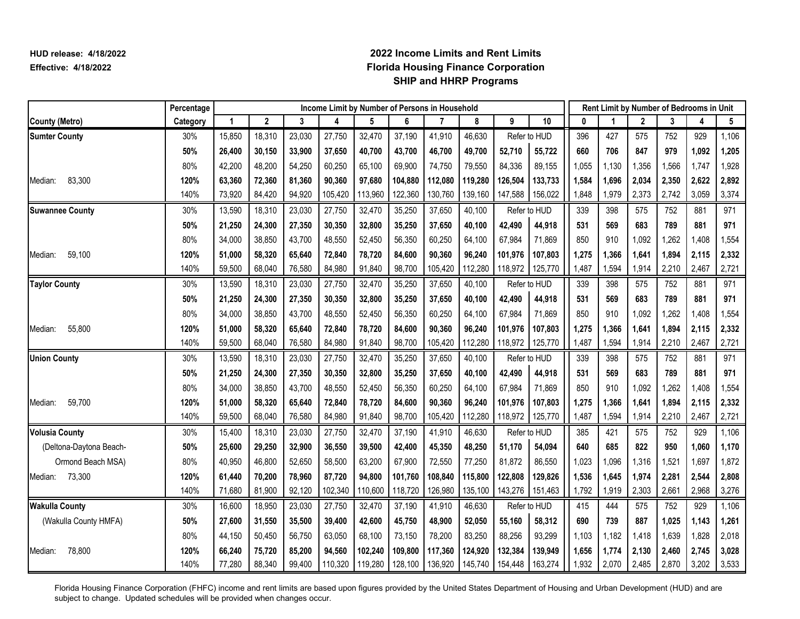|                         | Percentage |        |              |        | Income Limit by Number of Persons in Household |         |         |         |         |         |              |       |       |              |       | Rent Limit by Number of Bedrooms in Unit |       |
|-------------------------|------------|--------|--------------|--------|------------------------------------------------|---------|---------|---------|---------|---------|--------------|-------|-------|--------------|-------|------------------------------------------|-------|
| <b>County (Metro)</b>   | Category   | 1      | $\mathbf{2}$ | 3      | 4                                              | 5       | 6       | 7       | 8       | 9       | 10           | 0     |       | $\mathbf{2}$ | 3     | 4                                        | 5     |
| <b>Sumter County</b>    | 30%        | 15,850 | 18,310       | 23,030 | 27,750                                         | 32,470  | 37,190  | 41,910  | 46,630  |         | Refer to HUD | 396   | 427   | 575          | 752   | 929                                      | 1,106 |
|                         | 50%        | 26,400 | 30,150       | 33,900 | 37,650                                         | 40,700  | 43,700  | 46,700  | 49,700  | 52,710  | 55,722       | 660   | 706   | 847          | 979   | 1,092                                    | 1,205 |
|                         | 80%        | 42,200 | 48,200       | 54,250 | 60,250                                         | 65,100  | 69,900  | 74,750  | 79,550  | 84,336  | 89,155       | 1,055 | 1,130 | 1,356        | 1,566 | 1,747                                    | 1,928 |
| 83,300<br>Median:       | 120%       | 63,360 | 72,360       | 81,360 | 90,360                                         | 97,680  | 104,880 | 112,080 | 119,280 | 126,504 | 133,733      | 1,584 | 1,696 | 2,034        | 2,350 | 2,622                                    | 2,892 |
|                         | 140%       | 73,920 | 84,420       | 94,920 | 105,420                                        | 113,960 | 122,360 | 130,760 | 139,160 | 147,588 | 156,022      | 1,848 | 1,979 | 2,373        | 2,742 | 3,059                                    | 3,374 |
| <b>Suwannee County</b>  | 30%        | 13,590 | 18,310       | 23,030 | 27,750                                         | 32,470  | 35,250  | 37,650  | 40,100  |         | Refer to HUD | 339   | 398   | 575          | 752   | 881                                      | 971   |
|                         | 50%        | 21,250 | 24,300       | 27,350 | 30,350                                         | 32,800  | 35,250  | 37,650  | 40,100  | 42,490  | 44,918       | 531   | 569   | 683          | 789   | 881                                      | 971   |
|                         | 80%        | 34,000 | 38,850       | 43,700 | 48,550                                         | 52,450  | 56,350  | 60,250  | 64,100  | 67,984  | 71,869       | 850   | 910   | 1,092        | 1,262 | 1,408                                    | 1,554 |
| 59,100<br>Median:       | 120%       | 51,000 | 58,320       | 65,640 | 72,840                                         | 78,720  | 84,600  | 90,360  | 96,240  | 101,976 | 107,803      | 1,275 | 1,366 | 1,641        | 1,894 | 2,115                                    | 2,332 |
|                         | 140%       | 59,500 | 68,040       | 76,580 | 84,980                                         | 91,840  | 98,700  | 105,420 | 112,280 | 118,972 | 125,770      | 1,487 | 1,594 | 1,914        | 2,210 | 2,467                                    | 2,721 |
| <b>Taylor County</b>    | 30%        | 13,590 | 18,310       | 23,030 | 27,750                                         | 32,470  | 35,250  | 37,650  | 40,100  |         | Refer to HUD | 339   | 398   | 575          | 752   | 881                                      | 971   |
|                         | 50%        | 21,250 | 24,300       | 27,350 | 30,350                                         | 32,800  | 35,250  | 37,650  | 40,100  | 42,490  | 44,918       | 531   | 569   | 683          | 789   | 881                                      | 971   |
|                         | 80%        | 34,000 | 38,850       | 43,700 | 48,550                                         | 52,450  | 56,350  | 60,250  | 64,100  | 67,984  | 71,869       | 850   | 910   | 1,092        | 1,262 | 1,408                                    | 1,554 |
| 55,800<br>Median:       | 120%       | 51,000 | 58,320       | 65,640 | 72,840                                         | 78,720  | 84,600  | 90,360  | 96,240  | 101,976 | 107,803      | 1,275 | 1,366 | 1,641        | 1,894 | 2,115                                    | 2,332 |
|                         | 140%       | 59,500 | 68,040       | 76,580 | 84,980                                         | 91,840  | 98,700  | 105,420 | 112,280 | 118,972 | 125,770      | 1,487 | 1,594 | 1,914        | 2,210 | 2,467                                    | 2,721 |
| <b>Union County</b>     | 30%        | 13,590 | 18,310       | 23,030 | 27,750                                         | 32,470  | 35,250  | 37,650  | 40,100  |         | Refer to HUD | 339   | 398   | 575          | 752   | 881                                      | 971   |
|                         | 50%        | 21,250 | 24,300       | 27,350 | 30,350                                         | 32,800  | 35,250  | 37,650  | 40,100  | 42,490  | 44,918       | 531   | 569   | 683          | 789   | 881                                      | 971   |
|                         | 80%        | 34,000 | 38,850       | 43,700 | 48,550                                         | 52,450  | 56,350  | 60,250  | 64,100  | 67,984  | 71,869       | 850   | 910   | 1,092        | 1,262 | 1,408                                    | 1,554 |
| 59,700<br>Median:       | 120%       | 51,000 | 58,320       | 65,640 | 72,840                                         | 78,720  | 84,600  | 90,360  | 96,240  | 101,976 | 107,803      | 1,275 | 1,366 | 1,641        | 1,894 | 2,115                                    | 2,332 |
|                         | 140%       | 59,500 | 68,040       | 76,580 | 84,980                                         | 91,840  | 98,700  | 105,420 | 112,280 | 118,972 | 125,770      | 1,487 | 1,594 | 1,914        | 2,210 | 2,467                                    | 2,721 |
| <b>Volusia County</b>   | 30%        | 15,400 | 18,310       | 23,030 | 27,750                                         | 32,470  | 37,190  | 41,910  | 46,630  |         | Refer to HUD | 385   | 421   | 575          | 752   | 929                                      | 1,106 |
| (Deltona-Daytona Beach- | 50%        | 25,600 | 29,250       | 32,900 | 36,550                                         | 39,500  | 42,400  | 45,350  | 48,250  | 51,170  | 54,094       | 640   | 685   | 822          | 950   | 1,060                                    | 1,170 |
| Ormond Beach MSA)       | 80%        | 40,950 | 46,800       | 52,650 | 58,500                                         | 63,200  | 67,900  | 72,550  | 77,250  | 81,872  | 86,550       | 1,023 | 1,096 | 1,316        | 1,521 | 1,697                                    | 1,872 |
| Median: 73,300          | 120%       | 61,440 | 70,200       | 78,960 | 87,720                                         | 94,800  | 101,760 | 108,840 | 115,800 | 122,808 | 129,826      | 1,536 | 1,645 | 1,974        | 2,281 | 2,544                                    | 2,808 |
|                         | 140%       | 71,680 | 81,900       | 92,120 | 102,340                                        | 110,600 | 118,720 | 126,980 | 135,100 | 143,276 | 151,463      | 1,792 | 1,919 | 2,303        | 2,661 | 2,968                                    | 3,276 |
| <b>Wakulla County</b>   | 30%        | 16,600 | 18,950       | 23,030 | 27,750                                         | 32,470  | 37,190  | 41,910  | 46,630  |         | Refer to HUD | 415   | 444   | 575          | 752   | 929                                      | 1,106 |
| (Wakulla County HMFA)   | 50%        | 27,600 | 31,550       | 35,500 | 39,400                                         | 42,600  | 45,750  | 48,900  | 52,050  | 55,160  | 58,312       | 690   | 739   | 887          | 1,025 | 1,143                                    | 1,261 |
|                         | 80%        | 44,150 | 50,450       | 56,750 | 63,050                                         | 68,100  | 73,150  | 78,200  | 83,250  | 88,256  | 93,299       | 1,103 | 1,182 | 1,418        | 1,639 | 1,828                                    | 2,018 |
| 78,800<br>Median:       | 120%       | 66,240 | 75,720       | 85,200 | 94,560                                         | 102,240 | 109,800 | 117,360 | 124,920 | 132,384 | 139,949      | 1,656 | 1,774 | 2,130        | 2,460 | 2,745                                    | 3,028 |
|                         | 140%       | 77,280 | 88,340       | 99,400 | 110,320                                        | 119,280 | 128,100 | 136,920 | 145,740 | 154,448 | 163,274      | 1,932 | 2,070 | 2,485        | 2,870 | 3,202                                    | 3,533 |